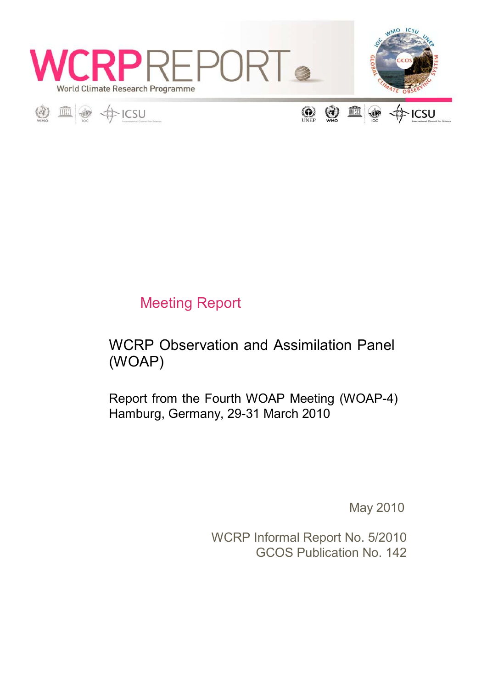





(2) 血 **O** 通 ·ICSU

# Meeting Report

# WCRP Observation and Assimilation Panel (WOAP)

Report from the Fourth WOAP Meeting (WOAP-4) Hamburg, Germany, 29-31 March 2010

May 2010

WCRP Informal Report No. 5/2010 GCOS Publication No. 142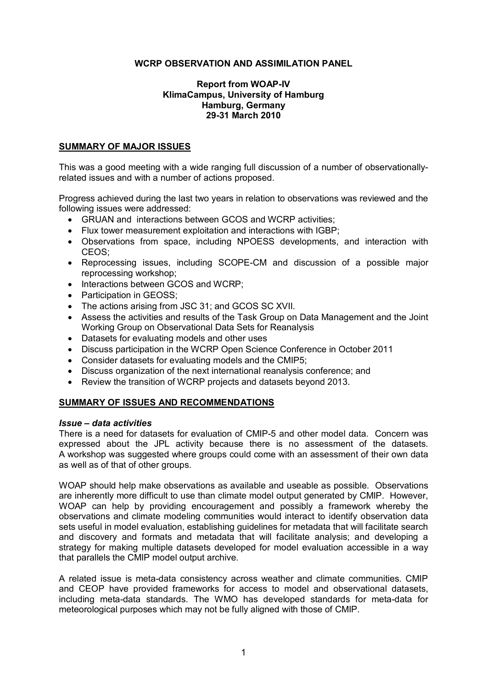### **WCRP OBSERVATION AND ASSIMILATION PANEL**

#### **Report from WOAP-IV KlimaCampus, University of Hamburg Hamburg, Germany 2931 March 2010**

#### **SUMMARY OF MAJOR ISSUES**

This was a good meeting with a wide ranging full discussion of a number of observationallyrelated issues and with a number of actions proposed.

Progress achieved during the last two years in relation to observations was reviewed and the following issues were addressed:

- · GRUAN and interactions between GCOS and WCRP activities;
- · Flux tower measurement exploitation and interactions with IGBP;
- · Observations from space, including NPOESS developments, and interaction with CEOS;
- Reprocessing issues, including SCOPE-CM and discussion of a possible major reprocessing workshop;
- Interactions between GCOS and WCRP:
- Participation in GEOSS;
- · The actions arising from JSC 31; and GCOS SC XVII.
- · Assess the activities and results of the Task Group on Data Management and the Joint Working Group on Observational Data Sets for Reanalysis
- · Datasets for evaluating models and other uses
- · Discuss participation in the WCRP Open Science Conference in October 2011
- · Consider datasets for evaluating models and the CMIP5;
- · Discuss organization of the next international reanalysis conference; and
- · Review the transition of WCRP projects and datasets beyond 2013.

#### **SUMMARY OF ISSUES AND RECOMMENDATIONS**

#### *Issue – data activities*

There is a need for datasets for evaluation of CMIP-5 and other model data. Concern was expressed about the JPL activity because there is no assessment of the datasets. A workshop was suggested where groups could come with an assessment of their own data as well as of that of other groups.

WOAP should help make observations as available and useable as possible. Observations are inherently more difficult to use than climate model output generated by CMIP. However, WOAP can help by providing encouragement and possibly a framework whereby the observations and climate modeling communities would interact to identify observation data sets useful in model evaluation, establishing guidelines for metadata that will facilitate search and discovery and formats and metadata that will facilitate analysis; and developing a strategy for making multiple datasets developed for model evaluation accessible in a way that parallels the CMIP model output archive.

A related issue is meta-data consistency across weather and climate communities. CMIP and CEOP have provided frameworks for access to model and observational datasets, including meta-data standards. The WMO has developed standards for meta-data for meteorological purposes which may not be fully aligned with those of CMIP.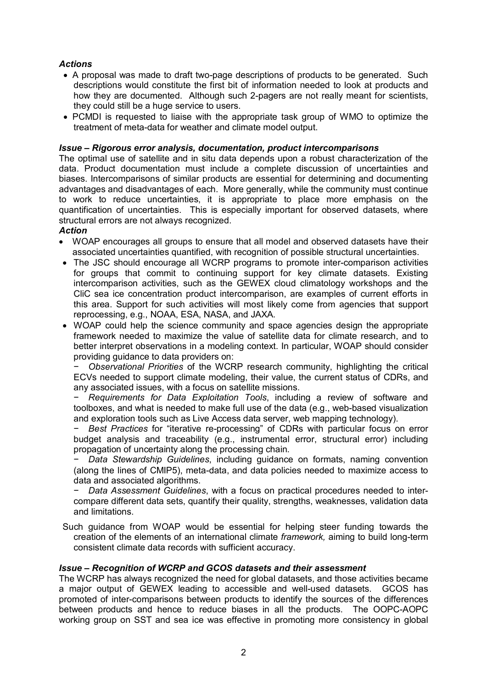### *Actions*

- A proposal was made to draft two-page descriptions of products to be generated. Such descriptions would constitute the first bit of information needed to look at products and how they are documented. Although such 2-pagers are not really meant for scientists, they could still be a huge service to users.
- · PCMDI is requested to liaise with the appropriate task group of WMO to optimize the treatment of meta-data for weather and climate model output.

### *Issue – Rigorous error analysis, documentation, product intercomparisons*

The optimal use of satellite and in situ data depends upon a robust characterization of the data. Product documentation must include a complete discussion of uncertainties and biases. Intercomparisons of similar products are essential for determining and documenting advantages and disadvantages of each. More generally, while the community must continue to work to reduce uncertainties, it is appropriate to place more emphasis on the quantification of uncertainties. This is especially important for observed datasets, where structural errors are not always recognized.

### *Action*

- · WOAP encourages all groups to ensure that all model and observed datasets have their associated uncertainties quantified, with recognition of possible structural uncertainties.
- The JSC should encourage all WCRP programs to promote inter-comparison activities for groups that commit to continuing support for key climate datasets. Existing intercomparison activities, such as the GEWEX cloud climatology workshops and the CliC sea ice concentration product intercomparison, are examples of current efforts in this area. Support for such activities will most likely come from agencies that support reprocessing, e.g., NOAA, ESA, NASA, and JAXA.
- · WOAP could help the science community and space agencies design the appropriate framework needed to maximize the value of satellite data for climate research, and to better interpret observations in a modeling context. In particular, WOAP should consider providing guidance to data providers on:

− *Observational Priorities* of the WCRP research community, highlighting the critical ECVs needed to support climate modeling, their value, the current status of CDRs, and any associated issues, with a focus on satellite missions.

− *Requirements for Data Exploitation Tools*, including a review of software and toolboxes, and what is needed to make full use of the data (e.g., web-based visualization and exploration tools such as Live Access data server, web mapping technology).

− *Best Practices* for "iterative reprocessing" of CDRs with particular focus on error budget analysis and traceability (e.g., instrumental error, structural error) including propagation of uncertainty along the processing chain.

− *Data Stewardship Guidelines*, including guidance on formats, naming convention (along the lines of CMIP5), meta-data, and data policies needed to maximize access to data and associated algorithms.

− *Data Assessment Guidelines*, with a focus on practical procedures needed to inter compare different data sets, quantify their quality, strengths, weaknesses, validation data and limitations.

Such guidance from WOAP would be essential for helping steer funding towards the creation of the elements of an international climate *framework*, aiming to build long-term consistent climate data records with sufficient accuracy.

### *Issue – Recognition of WCRP and GCOS datasets and their assessment*

The WCRP has always recognized the need for global datasets, and those activities became a major output of GEWEX leading to accessible and well-used datasets. GCOS has promoted of intercomparisons between products to identify the sources of the differences between products and hence to reduce biases in all the products. The OOPC-AOPC working group on SST and sea ice was effective in promoting more consistency in global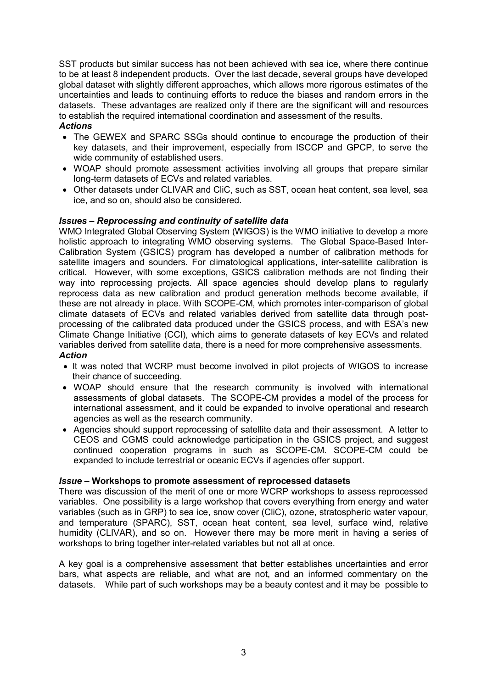SST products but similar success has not been achieved with sea ice, where there continue to be at least 8 independent products. Over the last decade, several groups have developed global dataset with slightly different approaches, which allows more rigorous estimates of the uncertainties and leads to continuing efforts to reduce the biases and random errors in the datasets. These advantages are realized only if there are the significant will and resources to establish the required international coordination and assessment of the results.

### *Actions*

- · The GEWEX and SPARC SSGs should continue to encourage the production of their key datasets, and their improvement, especially from ISCCP and GPCP, to serve the wide community of established users.
- · WOAP should promote assessment activities involving all groups that prepare similar long-term datasets of ECVs and related variables.
- · Other datasets under CLIVAR and CliC, such as SST, ocean heat content, sea level, sea ice, and so on, should also be considered.

### *Issues – Reprocessing and continuity of satellite data*

WMO Integrated Global Observing System (WIGOS) is the WMO initiative to develop a more holistic approach to integrating WMO observing systems. The Global Space-Based Inter-Calibration System (GSICS) program has developed a number of calibration methods for satellite imagers and sounders. For climatological applications, inter-satellite calibration is critical. However, with some exceptions, GSICS calibration methods are not finding their way into reprocessing projects. All space agencies should develop plans to regularly reprocess data as new calibration and product generation methods become available, if these are not already in place. With SCOPE-CM, which promotes inter-comparison of global climate datasets of ECVs and related variables derived from satellite data through post processing of the calibrated data produced under the GSICS process, and with ESA's new Climate Change Initiative (CCI), which aims to generate datasets of key ECVs and related variables derived from satellite data, there is a need for more comprehensive assessments. *Action*

- · It was noted that WCRP must become involved in pilot projects of WIGOS to increase their chance of succeeding.
- · WOAP should ensure that the research community is involved with international assessments of global datasets. The SCOPE-CM provides a model of the process for international assessment, and it could be expanded to involve operational and research agencies as well as the research community.
- · Agencies should support reprocessing of satellite data and their assessment. A letter to CEOS and CGMS could acknowledge participation in the GSICS project, and suggest continued cooperation programs in such as SCOPE-CM. SCOPE-CM could be expanded to include terrestrial or oceanic ECVs if agencies offer support.

### *Issue –* **Workshops to promote assessment of reprocessed datasets**

There was discussion of the merit of one or more WCRP workshops to assess reprocessed variables. One possibility is a large workshop that covers everything from energy and water variables (such as in GRP) to sea ice, snow cover (CliC), ozone, stratospheric water vapour, and temperature (SPARC), SST, ocean heat content, sea level, surface wind, relative humidity (CLIVAR), and so on. However there may be more merit in having a series of workshops to bring together inter-related variables but not all at once.

A key goal is a comprehensive assessment that better establishes uncertainties and error bars, what aspects are reliable, and what are not, and an informed commentary on the datasets. While part of such workshops may be a beauty contest and it may be possible to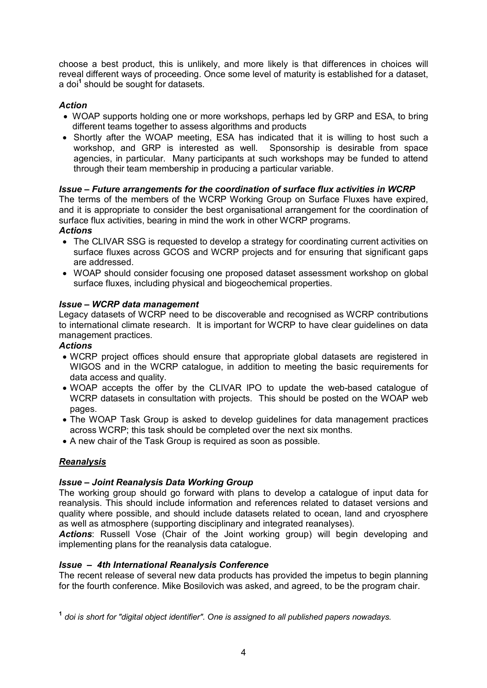choose a best product, this is unlikely, and more likely is that differences in choices will reveal different ways of proceeding. Once some level of maturity is established for a dataset, a doi**<sup>1</sup>** should be sought for datasets.

### *Action*

- · WOAP supports holding one or more workshops, perhaps led by GRP and ESA, to bring different teams together to assess algorithms and products
- · Shortly after the WOAP meeting, ESA has indicated that it is willing to host such a workshop, and GRP is interested as well. Sponsorship is desirable from space agencies, in particular. Many participants at such workshops may be funded to attend through their team membership in producing a particular variable.

### *Issue – Future arrangements for the coordination of surface flux activities in WCRP*

The terms of the members of the WCRP Working Group on Surface Fluxes have expired, and it is appropriate to consider the best organisational arrangement for the coordination of surface flux activities, bearing in mind the work in other WCRP programs. *Actions*

- · The CLIVAR SSG is requested to develop a strategy for coordinating current activities on surface fluxes across GCOS and WCRP projects and for ensuring that significant gaps are addressed.
- · WOAP should consider focusing one proposed dataset assessment workshop on global surface fluxes, including physical and biogeochemical properties.

### *Issue – WCRP data management*

Legacy datasets of WCRP need to be discoverable and recognised as WCRP contributions to international climate research. It is important for WCRP to have clear guidelines on data management practices.

### *Actions*

- · WCRP project offices should ensure that appropriate global datasets are registered in WIGOS and in the WCRP catalogue, in addition to meeting the basic requirements for data access and quality.
- WOAP accepts the offer by the CLIVAR IPO to update the web-based catalogue of WCRP datasets in consultation with projects. This should be posted on the WOAP web pages.
- · The WOAP Task Group is asked to develop guidelines for data management practices across WCRP; this task should be completed over the next six months.
- · A new chair of the Task Group is required as soon as possible.

### *Reanalysis*

### *Issue – Joint Reanalysis Data Working Group*

The working group should go forward with plans to develop a catalogue of input data for reanalysis. This should include information and references related to dataset versions and quality where possible, and should include datasets related to ocean, land and cryosphere as well as atmosphere (supporting disciplinary and integrated reanalyses).

*Actions*: Russell Vose (Chair of the Joint working group) will begin developing and implementing plans for the reanalysis data catalogue.

### *Issue – 4th International Reanalysis Conference*

The recent release of several new data products has provided the impetus to begin planning for the fourth conference. Mike Bosilovich was asked, and agreed, to be the program chair.

**<sup>1</sup>** *doi is short for "digital object identifier". One is assigned to all published papers nowadays.*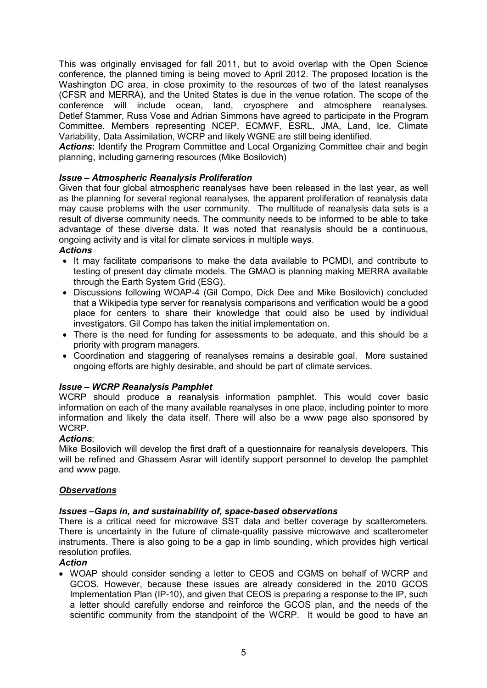This was originally envisaged for fall 2011, but to avoid overlap with the Open Science conference, the planned timing is being moved to April 2012. The proposed location is the Washington DC area, in close proximity to the resources of two of the latest reanalyses (CFSR and MERRA), and the United States is due in the venue rotation. The scope of the conference will include ocean, land, cryosphere and atmosphere reanalyses. Detlef Stammer, Russ Vose and Adrian Simmons have agreed to participate in the Program Committee. Members representing NCEP, ECMWF, ESRL, JMA, Land, Ice, Climate Variability, Data Assimilation, WCRP and likely WGNE are still being identified.

*Actions***:** Identify the Program Committee and Local Organizing Committee chair and begin planning, including garnering resources (Mike Bosilovich)

### *Issue – Atmospheric Reanalysis Proliferation*

Given that four global atmospheric reanalyses have been released in the last year, as well as the planning for several regional reanalyses, the apparent proliferation of reanalysis data may cause problems with the user community. The multitude of reanalysis data sets is a result of diverse community needs. The community needs to be informed to be able to take advantage of these diverse data. It was noted that reanalysis should be a continuous, ongoing activity and is vital for climate services in multiple ways.

### *Actions*

- · It may facilitate comparisons to make the data available to PCMDI, and contribute to testing of present day climate models. The GMAO is planning making MERRA available through the Earth System Grid (ESG).
- · Discussions following WOAP4 (Gil Compo, Dick Dee and Mike Bosilovich) concluded that a Wikipedia type server for reanalysis comparisons and verification would be a good place for centers to share their knowledge that could also be used by individual investigators. Gil Compo has taken the initial implementation on.
- · There is the need for funding for assessments to be adequate, and this should be a priority with program managers.
- · Coordination and staggering of reanalyses remains a desirable goal. More sustained ongoing efforts are highly desirable, and should be part of climate services.

### *Issue – WCRP Reanalysis Pamphlet*

WCRP should produce a reanalysis information pamphlet. This would cover basic information on each of the many available reanalyses in one place, including pointer to more information and likely the data itself. There will also be a www page also sponsored by WCRP.

#### *Actions*:

Mike Bosilovich will develop the first draft of a questionnaire for reanalysis developers. This will be refined and Ghassem Asrar will identify support personnel to develop the pamphlet and www page.

### *Observations*

### *Issues –Gaps in, and sustainability of, spacebased observations*

There is a critical need for microwave SST data and better coverage by scatterometers. There is uncertainty in the future of climate-quality passive microwave and scatterometer instruments. There is also going to be a gap in limb sounding, which provides high vertical resolution profiles.

#### *Action*

· WOAP should consider sending a letter to CEOS and CGMS on behalf of WCRP and GCOS. However, because these issues are already considered in the 2010 GCOS Implementation Plan (IP-10), and given that CEOS is preparing a response to the IP, such a letter should carefully endorse and reinforce the GCOS plan, and the needs of the scientific community from the standpoint of the WCRP. It would be good to have an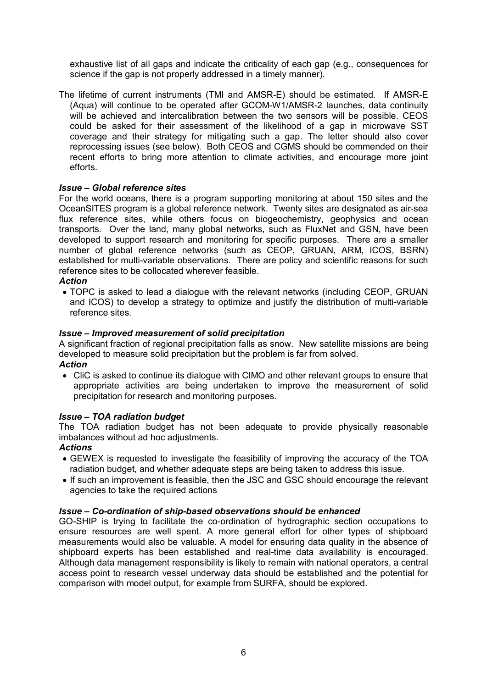exhaustive list of all gaps and indicate the criticality of each gap (e.g., consequences for science if the gap is not properly addressed in a timely manner).

The lifetime of current instruments (TMI and AMSR-E) should be estimated. If AMSR-E (Aqua) will continue to be operated after GCOM-W1/AMSR-2 launches, data continuity will be achieved and intercalibration between the two sensors will be possible. CEOS could be asked for their assessment of the likelihood of a gap in microwave SST coverage and their strategy for mitigating such a gap. The letter should also cover reprocessing issues (see below). Both CEOS and CGMS should be commended on their recent efforts to bring more attention to climate activities, and encourage more joint efforts.

### *Issue – Global reference sites*

For the world oceans, there is a program supporting monitoring at about 150 sites and the OceanSITES program is a global reference network. Twenty sites are designated as airsea flux reference sites, while others focus on biogeochemistry, geophysics and ocean transports. Over the land, many global networks, such as FluxNet and GSN, have been developed to support research and monitoring for specific purposes. There are a smaller number of global reference networks (such as CEOP, GRUAN, ARM, ICOS, BSRN) established for multi-variable observations. There are policy and scientific reasons for such reference sites to be collocated wherever feasible.

### *Action*

· TOPC is asked to lead a dialogue with the relevant networks (including CEOP, GRUAN and ICOS) to develop a strategy to optimize and justify the distribution of multi-variable reference sites.

### *Issue – Improved measurement of solid precipitation*

A significant fraction of regional precipitation falls as snow. New satellite missions are being developed to measure solid precipitation but the problem is far from solved.

### *Action*

· CliC is asked to continue its dialogue with CIMO and other relevant groups to ensure that appropriate activities are being undertaken to improve the measurement of solid precipitation for research and monitoring purposes.

### *Issue – TOA radiation budget*

The TOA radiation budget has not been adequate to provide physically reasonable imbalances without ad hoc adjustments.

### *Actions*

- · GEWEX is requested to investigate the feasibility of improving the accuracy of the TOA radiation budget, and whether adequate steps are being taken to address this issue.
- · If such an improvement is feasible, then the JSC and GSC should encourage the relevant agencies to take the required actions

### *Issue – Co-ordination of ship-based observations should be enhanced*

GO-SHIP is trying to facilitate the co-ordination of hydrographic section occupations to ensure resources are well spent. A more general effort for other types of shipboard measurements would also be valuable. A model for ensuring data quality in the absence of shipboard experts has been established and real-time data availability is encouraged. Although data management responsibility is likely to remain with national operators, a central access point to research vessel underway data should be established and the potential for comparison with model output, for example from SURFA, should be explored.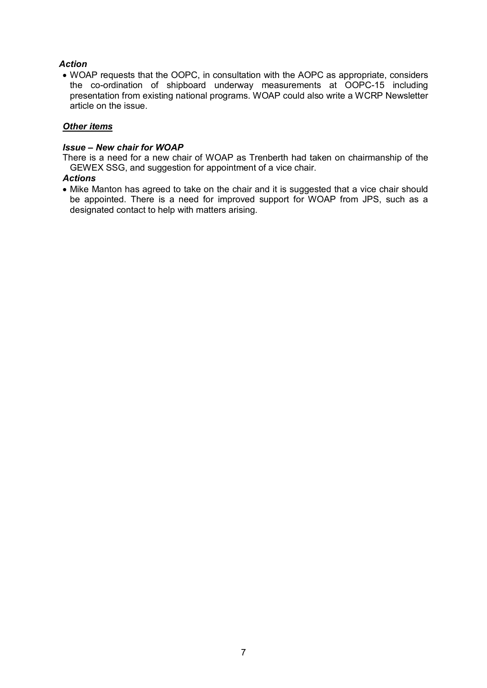### *Action*

· WOAP requests that the OOPC, in consultation with the AOPC as appropriate, considers the co-ordination of shipboard underway measurements at OOPC-15 including presentation from existing national programs. WOAP could also write a WCRP Newsletter article on the issue.

### *Other items*

#### *Issue – New chair for WOAP*

There is a need for a new chair of WOAP as Trenberth had taken on chairmanship of the GEWEX SSG, and suggestion for appointment of a vice chair.

#### *Actions*

· Mike Manton has agreed to take on the chair and it is suggested that a vice chair should be appointed. There is a need for improved support for WOAP from JPS, such as a designated contact to help with matters arising.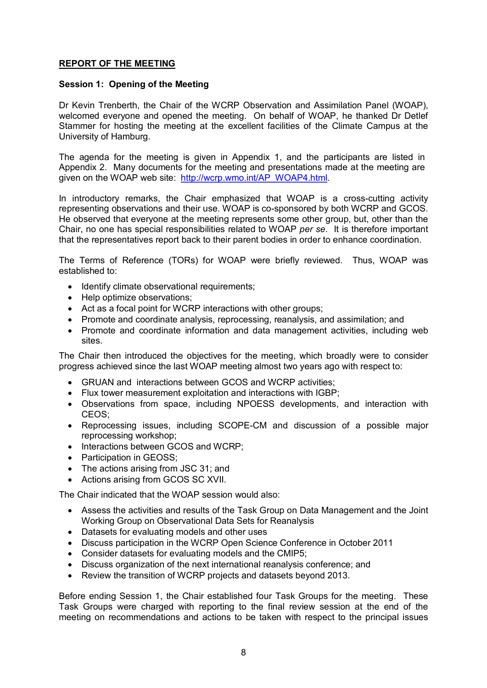### **REPORT OF THE MEETING**

#### **Session 1: Opening of the Meeting**

Dr Kevin Trenberth, the Chair of the WCRP Observation and Assimilation Panel (WOAP), welcomed everyone and opened the meeting. On behalf of WOAP, he thanked Dr Detlef Stammer for hosting the meeting at the excellent facilities of the Climate Campus at the University of Hamburg.

The agenda for the meeting is given in Appendix 1, and the participants are listed in Appendix 2. Many documents for the meeting and presentations made at the meeting are given on the WOAP web site: [http://wcrp.wmo.int/AP\\_WOAP4.html](http://wcrp.wmo.int/AP_WOAP4.html).

In introductory remarks, the Chair emphasized that WOAP is a cross-cutting activity representing observations and their use. WOAP is cosponsored by both WCRP and GCOS. He observed that everyone at the meeting represents some other group, but, other than the Chair, no one has special responsibilities related to WOAP *per se*. It is therefore important that the representatives report back to their parent bodies in order to enhance coordination.

The Terms of Reference (TORs) for WOAP were briefly reviewed. Thus, WOAP was established to:

- · Identify climate observational requirements;
- · Help optimize observations;
- · Act as a focal point for WCRP interactions with other groups;
- · Promote and coordinate analysis, reprocessing, reanalysis, and assimilation; and
- · Promote and coordinate information and data management activities, including web sites.

The Chair then introduced the objectives for the meeting, which broadly were to consider progress achieved since the last WOAP meeting almost two years ago with respect to:

- · GRUAN and interactions between GCOS and WCRP activities;
- · Flux tower measurement exploitation and interactions with IGBP;
- · Observations from space, including NPOESS developments, and interaction with CEOS;
- Reprocessing issues, including SCOPE-CM and discussion of a possible major reprocessing workshop;
- · Interactions between GCOS and WCRP;
- Participation in GEOSS;
- The actions arising from JSC 31; and
- · Actions arising from GCOS SC XVII.

The Chair indicated that the WOAP session would also:

- · Assess the activities and results of the Task Group on Data Management and the Joint Working Group on Observational Data Sets for Reanalysis
- · Datasets for evaluating models and other uses
- · Discuss participation in the WCRP Open Science Conference in October 2011
- · Consider datasets for evaluating models and the CMIP5;
- · Discuss organization of the next international reanalysis conference; and
- · Review the transition of WCRP projects and datasets beyond 2013.

Before ending Session 1, the Chair established four Task Groups for the meeting. These Task Groups were charged with reporting to the final review session at the end of the meeting on recommendations and actions to be taken with respect to the principal issues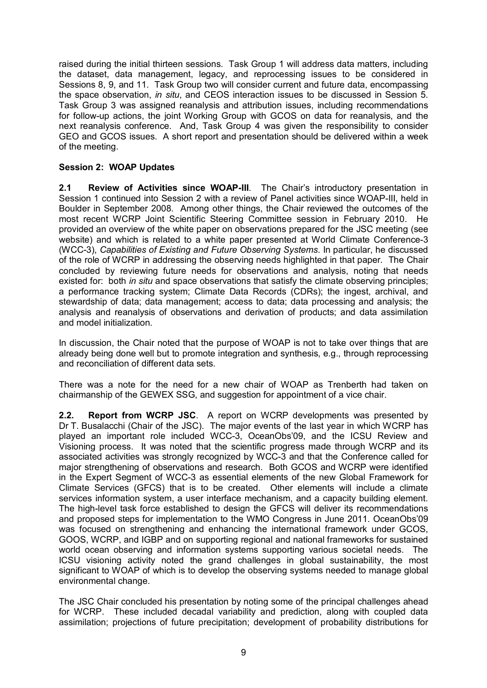raised during the initial thirteen sessions. Task Group 1 will address data matters, including the dataset, data management, legacy, and reprocessing issues to be considered in Sessions 8, 9, and 11. Task Group two will consider current and future data, encompassing the space observation, *in situ*, and CEOS interaction issues to be discussed in Session 5. Task Group 3 was assigned reanalysis and attribution issues, including recommendations for followup actions, the joint Working Group with GCOS on data for reanalysis, and the next reanalysis conference. And, Task Group 4 was given the responsibility to consider GEO and GCOS issues. A short report and presentation should be delivered within a week of the meeting.

### **Session 2: WOAP Updates**

**2.1 Review of Activities since WOAPIII**. The Chair's introductory presentation in Session 1 continued into Session 2 with a review of Panel activities since WOAP-III, held in Boulder in September 2008. Among other things, the Chair reviewed the outcomes of the most recent WCRP Joint Scientific Steering Committee session in February 2010. He provided an overview of the white paper on observations prepared for the JSC meeting (see website) and which is related to a white paper presented at World Climate Conference-3 (WCC3), *Capabilities of Existing and Future Observing Systems*. In particular, he discussed of the role of WCRP in addressing the observing needs highlighted in that paper*.* The Chair concluded by reviewing future needs for observations and analysis, noting that needs existed for: both *in situ* and space observations that satisfy the climate observing principles; a performance tracking system; Climate Data Records (CDRs); the ingest, archival, and stewardship of data; data management; access to data; data processing and analysis; the analysis and reanalysis of observations and derivation of products; and data assimilation and model initialization.

In discussion, the Chair noted that the purpose of WOAP is not to take over things that are already being done well but to promote integration and synthesis, e.g., through reprocessing and reconciliation of different data sets.

There was a note for the need for a new chair of WOAP as Trenberth had taken on chairmanship of the GEWEX SSG, and suggestion for appointment of a vice chair.

**2.2. Report from WCRP JSC**. A report on WCRP developments was presented by Dr T. Busalacchi (Chair of the JSC). The major events of the last year in which WCRP has played an important role included WCC3, OceanObs'09, and the ICSU Review and Visioning process. It was noted that the scientific progress made through WCRP and its associated activities was strongly recognized by WCC-3 and that the Conference called for major strengthening of observations and research. Both GCOS and WCRP were identified in the Expert Segment of WCC-3 as essential elements of the new Global Framework for Climate Services (GFCS) that is to be created. Other elements will include a climate services information system, a user interface mechanism, and a capacity building element. The high-level task force established to design the GFCS will deliver its recommendations and proposed steps for implementation to the WMO Congress in June 2011. OceanObs'09 was focused on strengthening and enhancing the international framework under GCOS, GOOS, WCRP, and IGBP and on supporting regional and national frameworks for sustained world ocean observing and information systems supporting various societal needs. The ICSU visioning activity noted the grand challenges in global sustainability, the most significant to WOAP of which is to develop the observing systems needed to manage global environmental change.

The JSC Chair concluded his presentation by noting some of the principal challenges ahead for WCRP. These included decadal variability and prediction, along with coupled data assimilation; projections of future precipitation; development of probability distributions for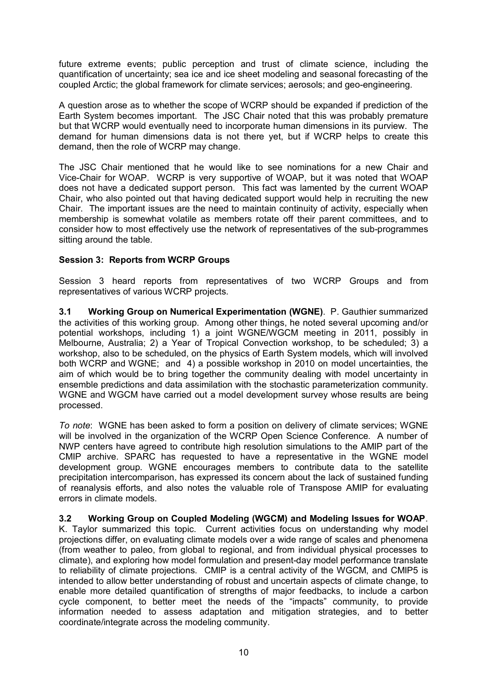future extreme events; public perception and trust of climate science, including the quantification of uncertainty; sea ice and ice sheet modeling and seasonal forecasting of the coupled Arctic; the global framework for climate services; aerosols; and geo-engineering.

A question arose as to whether the scope of WCRP should be expanded if prediction of the Earth System becomes important. The JSC Chair noted that this was probably premature but that WCRP would eventually need to incorporate human dimensions in its purview. The demand for human dimensions data is not there yet, but if WCRP helps to create this demand, then the role of WCRP may change.

The JSC Chair mentioned that he would like to see nominations for a new Chair and Vice-Chair for WOAP. WCRP is very supportive of WOAP, but it was noted that WOAP does not have a dedicated support person. This fact was lamented by the current WOAP Chair, who also pointed out that having dedicated support would help in recruiting the new Chair. The important issues are the need to maintain continuity of activity, especially when membership is somewhat volatile as members rotate off their parent committees, and to consider how to most effectively use the network of representatives of the sub-programmes sitting around the table.

### **Session 3: Reports from WCRP Groups**

Session 3 heard reports from representatives of two WCRP Groups and from representatives of various WCRP projects.

**3.1 Working Group on Numerical Experimentation (WGNE)**. P. Gauthier summarized the activities of this working group. Among other things, he noted several upcoming and/or potential workshops, including 1) a joint WGNE/WGCM meeting in 2011, possibly in Melbourne, Australia; 2) a Year of Tropical Convection workshop, to be scheduled; 3) a workshop, also to be scheduled, on the physics of Earth System models, which will involved both WCRP and WGNE; and 4) a possible workshop in 2010 on model uncertainties, the aim of which would be to bring together the community dealing with model uncertainty in ensemble predictions and data assimilation with the stochastic parameterization community. WGNE and WGCM have carried out a model development survey whose results are being processed.

*To* note: WGNE has been asked to form a position on delivery of climate services; WGNE will be involved in the organization of the WCRP Open Science Conference. A number of NWP centers have agreed to contribute high resolution simulations to the AMIP part of the CMIP archive. SPARC has requested to have a representative in the WGNE model development group. WGNE encourages members to contribute data to the satellite precipitation intercomparison, has expressed its concern about the lack of sustained funding of reanalysis efforts, and also notes the valuable role of Transpose AMIP for evaluating errors in climate models.

### **3.2 Working Group on Coupled Modeling (WGCM) and Modeling Issues for WOAP**.

K. Taylor summarized this topic. Current activities focus on understanding why model projections differ, on evaluating climate models over a wide range of scales and phenomena (from weather to paleo, from global to regional, and from individual physical processes to climate), and exploring how model formulation and present-day model performance translate to reliability of climate projections. CMIP is a central activity of the WGCM, and CMIP5 is intended to allow better understanding of robust and uncertain aspects of climate change, to enable more detailed quantification of strengths of major feedbacks, to include a carbon cycle component, to better meet the needs of the "impacts" community, to provide information needed to assess adaptation and mitigation strategies, and to better coordinate/integrate across the modeling community.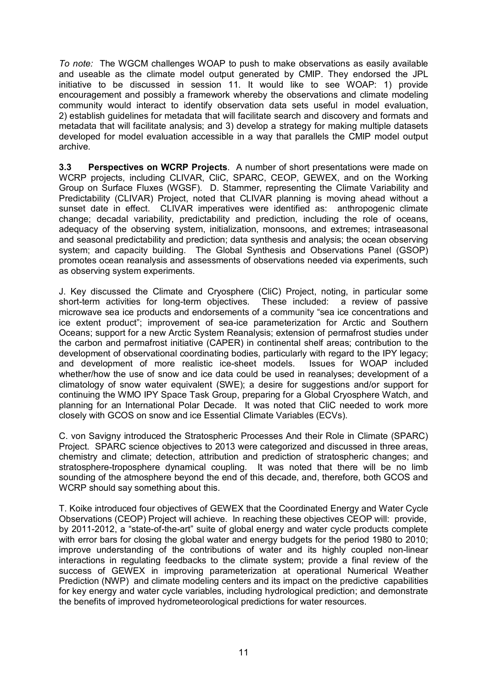*To note:* The WGCM challenges WOAP to push to make observations as easily available and useable as the climate model output generated by CMIP. They endorsed the JPL initiative to be discussed in session 11. It would like to see WOAP: 1) provide encouragement and possibly a framework whereby the observations and climate modeling community would interact to identify observation data sets useful in model evaluation, 2) establish guidelines for metadata that will facilitate search and discovery and formats and metadata that will facilitate analysis; and 3) develop a strategy for making multiple datasets developed for model evaluation accessible in a way that parallels the CMIP model output archive.

**3.3 Perspectives on WCRP Projects**. A number of short presentations were made on WCRP projects, including CLIVAR, CliC, SPARC, CEOP, GEWEX, and on the Working Group on Surface Fluxes (WGSF). D. Stammer, representing the Climate Variability and Predictability (CLIVAR) Project, noted that CLIVAR planning is moving ahead without a sunset date in effect. CLIVAR imperatives were identified as: anthropogenic climate change; decadal variability, predictability and prediction, including the role of oceans, adequacy of the observing system, initialization, monsoons, and extremes; intraseasonal and seasonal predictability and prediction; data synthesis and analysis; the ocean observing system; and capacity building. The Global Synthesis and Observations Panel (GSOP) promotes ocean reanalysis and assessments of observations needed via experiments, such as observing system experiments.

J. Key discussed the Climate and Cryosphere (CliC) Project, noting, in particular some short-term activities for long-term objectives. These included: a review of passive microwave sea ice products and endorsements of a community "sea ice concentrations and ice extent product"; improvement of sea-ice parameterization for Arctic and Southern Oceans; support for a new Arctic System Reanalysis; extension of permafrost studies under the carbon and permafrost initiative (CAPER) in continental shelf areas; contribution to the development of observational coordinating bodies, particularly with regard to the IPY legacy; and development of more realistic ice-sheet models. Issues for WOAP included whether/how the use of snow and ice data could be used in reanalyses; development of a climatology of snow water equivalent (SWE); a desire for suggestions and/or support for continuing the WMO IPY Space Task Group, preparing for a Global Cryosphere Watch, and planning for an International Polar Decade. It was noted that CliC needed to work more closely with GCOS on snow and ice Essential Climate Variables (ECVs).

C. von Savigny introduced the Stratospheric Processes And their Role in Climate (SPARC) Project. SPARC science objectives to 2013 were categorized and discussed in three areas, chemistry and climate; detection, attribution and prediction of stratospheric changes; and stratosphere-troposphere dynamical coupling. It was noted that there will be no limb sounding of the atmosphere beyond the end of this decade, and, therefore, both GCOS and WCRP should say something about this.

T. Koike introduced four objectives of GEWEX that the Coordinated Energy and Water Cycle Observations (CEOP) Project will achieve. In reaching these objectives CEOP will: provide, by 2011-2012, a "state-of-the-art" suite of global energy and water cycle products complete with error bars for closing the global water and energy budgets for the period 1980 to 2010; improve understanding of the contributions of water and its highly coupled non-linear interactions in regulating feedbacks to the climate system; provide a final review of the success of GEWEX in improving parameterization at operational Numerical Weather Prediction (NWP) and climate modeling centers and its impact on the predictive capabilities for key energy and water cycle variables, including hydrological prediction; and demonstrate the benefits of improved hydrometeorological predictions for water resources.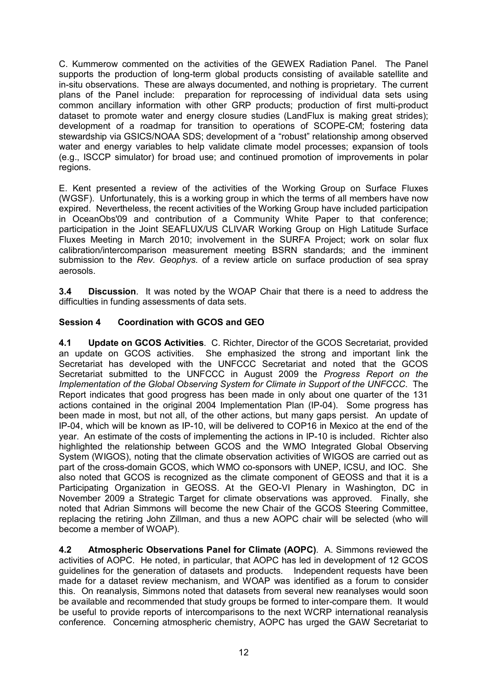C. Kummerow commented on the activities of the GEWEX Radiation Panel. The Panel supports the production of long-term global products consisting of available satellite and in-situ observations. These are always documented, and nothing is proprietary. The current plans of the Panel include: preparation for reprocessing of individual data sets using common ancillary information with other GRP products; production of first multi-product dataset to promote water and energy closure studies (LandFlux is making great strides); development of a roadmap for transition to operations of SCOPECM; fostering data stewardship via GSICS/NOAA SDS; development of a "robust" relationship among observed water and energy variables to help validate climate model processes; expansion of tools (e.g., ISCCP simulator) for broad use; and continued promotion of improvements in polar regions.

E. Kent presented a review of the activities of the Working Group on Surface Fluxes (WGSF). Unfortunately, this is a working group in which the terms of all members have now expired. Nevertheless, the recent activities of the Working Group have included participation in OceanObs'09 and contribution of a Community White Paper to that conference; participation in the Joint SEAFLUX/US CLIVAR Working Group on High Latitude Surface Fluxes Meeting in March 2010; involvement in the SURFA Project; work on solar flux calibration/intercomparison measurement meeting BSRN standards; and the imminent submission to the *Rev. Geophys.* of a review article on surface production of sea spray aerosols.

**3.4 Discussion**. It was noted by the WOAP Chair that there is a need to address the difficulties in funding assessments of data sets.

### **Session 4 Coordination with GCOS and GEO**

**4.1 Update on GCOS Activities**. C. Richter, Director of the GCOS Secretariat, provided an update on GCOS activities. She emphasized the strong and important link the Secretariat has developed with the UNFCCC Secretariat and noted that the GCOS Secretariat submitted to the UNFCCC in August 2009 the *Progress Report on the Implementation of the Global Observing System for Climate in Support of the UNFCCC*. The Report indicates that good progress has been made in only about one quarter of the 131 actions contained in the original 2004 Implementation Plan (IP-04). Some progress has been made in most, but not all, of the other actions, but many gaps persist. An update of IP-04, which will be known as IP-10, will be delivered to COP16 in Mexico at the end of the year. An estimate of the costs of implementing the actions in IP-10 is included. Richter also highlighted the relationship between GCOS and the WMO Integrated Global Observing System (WIGOS), noting that the climate observation activities of WIGOS are carried out as part of the cross-domain GCOS, which WMO co-sponsors with UNEP, ICSU, and IOC. She also noted that GCOS is recognized as the climate component of GEOSS and that it is a Participating Organization in GEOSS. At the GEO-VI Plenary in Washington, DC in November 2009 a Strategic Target for climate observations was approved. Finally, she noted that Adrian Simmons will become the new Chair of the GCOS Steering Committee, replacing the retiring John Zillman, and thus a new AOPC chair will be selected (who will become a member of WOAP).

**4.2 Atmospheric Observations Panel for Climate (AOPC)**. A. Simmons reviewed the activities of AOPC. He noted, in particular, that AOPC has led in development of 12 GCOS guidelines for the generation of datasets and products. Independent requests have been made for a dataset review mechanism, and WOAP was identified as a forum to consider this. On reanalysis, Simmons noted that datasets from several new reanalyses would soon be available and recommended that study groups be formed to inter-compare them. It would be useful to provide reports of intercomparisons to the next WCRP international reanalysis conference. Concerning atmospheric chemistry, AOPC has urged the GAW Secretariat to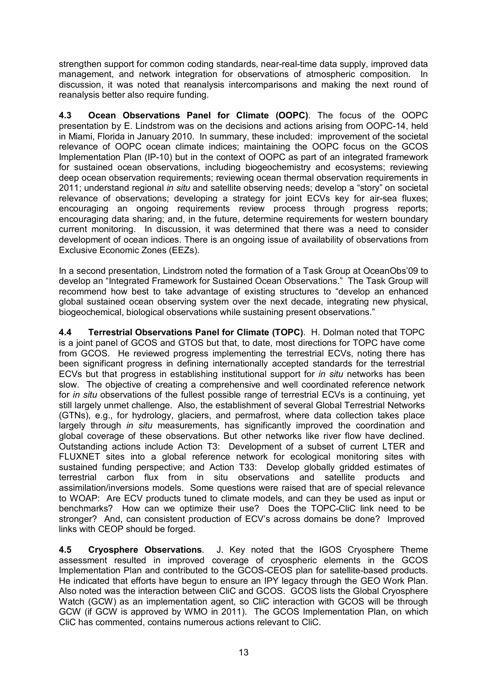strengthen support for common coding standards, near-real-time data supply, improved data management, and network integration for observations of atmospheric composition. In discussion, it was noted that reanalysis intercomparisons and making the next round of reanalysis better also require funding.

**4.3 Ocean Observations Panel for Climate (OOPC)**. The focus of the OOPC presentation by E. Lindstrom was on the decisions and actions arising from OOPC14, held in Miami, Florida in January 2010. In summary, these included: improvement of the societal relevance of OOPC ocean climate indices; maintaining the OOPC focus on the GCOS Implementation Plan (IP-10) but in the context of OOPC as part of an integrated framework for sustained ocean observations, including biogeochemistry and ecosystems; reviewing deep ocean observation requirements; reviewing ocean thermal observation requirements in 2011; understand regional *in situ* and satellite observing needs; develop a "story" on societal relevance of observations; developing a strategy for joint ECVs key for air-sea fluxes; encouraging an ongoing requirements review process through progress reports; encouraging data sharing; and, in the future, determine requirements for western boundary current monitoring. In discussion, it was determined that there was a need to consider development of ocean indices. There is an ongoing issue of availability of observations from Exclusive Economic Zones (EEZs).

In a second presentation, Lindstrom noted the formation of a Task Group at OceanObs'09 to develop an "Integrated Framework for Sustained Ocean Observations." The Task Group will recommend how best to take advantage of existing structures to "develop an enhanced global sustained ocean observing system over the next decade, integrating new physical, biogeochemical, biological observations while sustaining present observations."

**4.4 Terrestrial Observations Panel for Climate (TOPC)**. H. Dolman noted that TOPC is a joint panel of GCOS and GTOS but that, to date, most directions for TOPC have come from GCOS. He reviewed progress implementing the terrestrial ECVs, noting there has been significant progress in defining internationally accepted standards for the terrestrial ECVs but that progress in establishing institutional support for *in situ* networks has been slow. The objective of creating a comprehensive and well coordinated reference network for *in situ* observations of the fullest possible range of terrestrial ECVs is a continuing, yet still largely unmet challenge. Also, the establishment of several Global Terrestrial Networks (GTNs), e.g., for hydrology, glaciers, and permafrost, where data collection takes place largely through *in situ* measurements, has significantly improved the coordination and global coverage of these observations. But other networks like river flow have declined. Outstanding actions include Action T3: Development of a subset of current LTER and FLUXNET sites into a global reference network for ecological monitoring sites with sustained funding perspective; and Action T33: Develop globally gridded estimates of terrestrial carbon flux from in situ observations and satellite products and assimilation/inversions models. Some questions were raised that are of special relevance to WOAP: Are ECV products tuned to climate models, and can they be used as input or benchmarks? How can we optimize their use? Does the TOPC-CliC link need to be stronger? And, can consistent production of ECV's across domains be done? Improved links with CEOP should be forged.

**4.5 Cryosphere Observations**. J. Key noted that the IGOS Cryosphere Theme assessment resulted in improved coverage of cryospheric elements in the GCOS Implementation Plan and contributed to the GCOS-CEOS plan for satellite-based products. He indicated that efforts have begun to ensure an IPY legacy through the GEO Work Plan. Also noted was the interaction between CliC and GCOS. GCOS lists the Global Cryosphere Watch (GCW) as an implementation agent, so CliC interaction with GCOS will be through GCW (if GCW is approved by WMO in 2011). The GCOS Implementation Plan, on which CliC has commented, contains numerous actions relevant to CliC.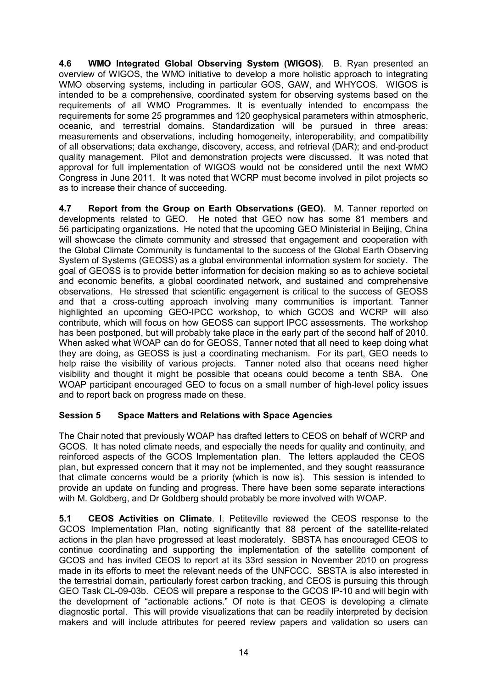**4.6 WMO Integrated Global Observing System (WIGOS)**. B. Ryan presented an overview of WIGOS, the WMO initiative to develop a more holistic approach to integrating WMO observing systems, including in particular GOS, GAW, and WHYCOS. WIGOS is intended to be a comprehensive, coordinated system for observing systems based on the requirements of all WMO Programmes. It is eventually intended to encompass the requirements for some 25 programmes and 120 geophysical parameters within atmospheric, oceanic, and terrestrial domains. Standardization will be pursued in three areas: measurements and observations, including homogeneity, interoperability, and compatibility of all observations; data exchange, discovery, access, and retrieval (DAR); and endproduct quality management. Pilot and demonstration projects were discussed. It was noted that approval for full implementation of WIGOS would not be considered until the next WMO Congress in June 2011. It was noted that WCRP must become involved in pilot projects so as to increase their chance of succeeding.

**4.7 Report from the Group on Earth Observations (GEO)**. M. Tanner reported on developments related to GEO. He noted that GEO now has some 81 members and 56 participating organizations. He noted that the upcoming GEO Ministerial in Beijing, China will showcase the climate community and stressed that engagement and cooperation with the Global Climate Community is fundamental to the success of the Global Earth Observing System of Systems (GEOSS) as a global environmental information system for society. The goal of GEOSS is to provide better information for decision making so as to achieve societal and economic benefits, a global coordinated network, and sustained and comprehensive observations. He stressed that scientific engagement is critical to the success of GEOSS and that a cross-cutting approach involving many communities is important. Tanner highlighted an upcoming GEO-IPCC workshop, to which GCOS and WCRP will also contribute, which will focus on how GEOSS can support IPCC assessments. The workshop has been postponed, but will probably take place in the early part of the second half of 2010. When asked what WOAP can do for GEOSS, Tanner noted that all need to keep doing what they are doing, as GEOSS is just a coordinating mechanism. For its part, GEO needs to help raise the visibility of various projects. Tanner noted also that oceans need higher visibility and thought it might be possible that oceans could become a tenth SBA. One WOAP participant encouraged GEO to focus on a small number of high-level policy issues and to report back on progress made on these.

### **Session 5 Space Matters and Relations with Space Agencies**

The Chair noted that previously WOAP has drafted letters to CEOS on behalf of WCRP and GCOS. It has noted climate needs, and especially the needs for quality and continuity, and reinforced aspects of the GCOS Implementation plan. The letters applauded the CEOS plan, but expressed concern that it may not be implemented, and they sought reassurance that climate concerns would be a priority (which is now is). This session is intended to provide an update on funding and progress. There have been some separate interactions with M. Goldberg, and Dr Goldberg should probably be more involved with WOAP.

**5.1 CEOS Activities on Climate**. I. Petiteville reviewed the CEOS response to the GCOS Implementation Plan, noting significantly that 88 percent of the satellite-related actions in the plan have progressed at least moderately. SBSTA has encouraged CEOS to continue coordinating and supporting the implementation of the satellite component of GCOS and has invited CEOS to report at its 33rd session in November 2010 on progress made in its efforts to meet the relevant needs of the UNFCCC. SBSTA is also interested in the terrestrial domain, particularly forest carbon tracking, and CEOS is pursuing this through GEO Task CL-09-03b. CEOS will prepare a response to the GCOS IP-10 and will begin with the development of "actionable actions." Of note is that CEOS is developing a climate diagnostic portal. This will provide visualizations that can be readily interpreted by decision makers and will include attributes for peered review papers and validation so users can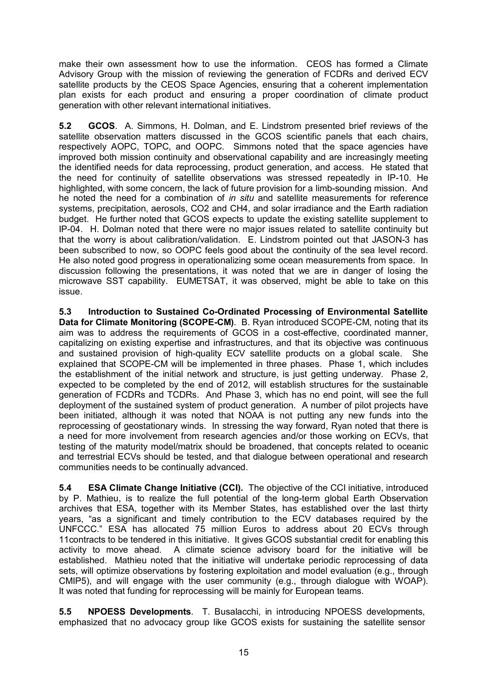make their own assessment how to use the information. CEOS has formed a Climate Advisory Group with the mission of reviewing the generation of FCDRs and derived ECV satellite products by the CEOS Space Agencies, ensuring that a coherent implementation plan exists for each product and ensuring a proper coordination of climate product generation with other relevant international initiatives.

**5.2 GCOS**. A. Simmons, H. Dolman, and E. Lindstrom presented brief reviews of the satellite observation matters discussed in the GCOS scientific panels that each chairs, respectively AOPC, TOPC, and OOPC. Simmons noted that the space agencies have improved both mission continuity and observational capability and are increasingly meeting the identified needs for data reprocessing, product generation, and access. He stated that the need for continuity of satellite observations was stressed repeatedly in IP-10. He highlighted, with some concern, the lack of future provision for a limb-sounding mission. And he noted the need for a combination of *in situ* and satellite measurements for reference systems, precipitation, aerosols, CO2 and CH4, and solar irradiance and the Earth radiation budget. He further noted that GCOS expects to update the existing satellite supplement to IP04. H. Dolman noted that there were no major issues related to satellite continuity but that the worry is about calibration/validation. E. Lindstrom pointed out that JASON-3 has been subscribed to now, so OOPC feels good about the continuity of the sea level record. He also noted good progress in operationalizing some ocean measurements from space. In discussion following the presentations, it was noted that we are in danger of losing the microwave SST capability. EUMETSAT, it was observed, might be able to take on this issue.

**5.3** Introduction to Sustained Co-Ordinated Processing of Environmental Satellite **Data for Climate Monitoring (SCOPE-CM).** B. Ryan introduced SCOPE-CM, noting that its aim was to address the requirements of GCOS in a costeffective, coordinated manner, capitalizing on existing expertise and infrastructures, and that its objective was continuous and sustained provision of high-quality ECV satellite products on a global scale. She explained that SCOPECM will be implemented in three phases. Phase 1, which includes the establishment of the initial network and structure, is just getting underway. Phase 2, expected to be completed by the end of 2012, will establish structures for the sustainable generation of FCDRs and TCDRs. And Phase 3, which has no end point, will see the full deployment of the sustained system of product generation. A number of pilot projects have been initiated, although it was noted that NOAA is not putting any new funds into the reprocessing of geostationary winds. In stressing the way forward, Ryan noted that there is a need for more involvement from research agencies and/or those working on ECVs, that testing of the maturity model/matrix should be broadened, that concepts related to oceanic and terrestrial ECVs should be tested, and that dialogue between operational and research communities needs to be continually advanced.

**5.4 ESA Climate Change Initiative (CCI).** The objective of the CCI initiative, introduced by P. Mathieu, is to realize the full potential of the long-term global Earth Observation archives that ESA, together with its Member States, has established over the last thirty years, "as a significant and timely contribution to the ECV databases required by the UNFCCC." ESA has allocated 75 million Euros to address about 20 ECVs through 11contracts to be tendered in this initiative. It gives GCOS substantial credit for enabling this activity to move ahead. A climate science advisory board for the initiative will be established. Mathieu noted that the initiative will undertake periodic reprocessing of data sets, will optimize observations by fostering exploitation and model evaluation (e.g., through CMIP5), and will engage with the user community (e.g., through dialogue with WOAP). It was noted that funding for reprocessing will be mainly for European teams.

**5.5 NPOESS Developments**. T. Busalacchi, in introducing NPOESS developments, emphasized that no advocacy group like GCOS exists for sustaining the satellite sensor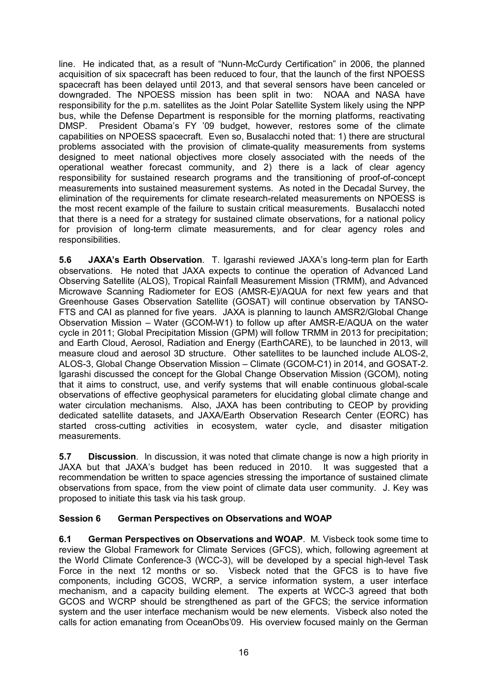line. He indicated that, as a result of "Nunn-McCurdy Certification" in 2006, the planned acquisition of six spacecraft has been reduced to four, that the launch of the first NPOESS spacecraft has been delayed until 2013, and that several sensors have been canceled or downgraded. The NPOESS mission has been split in two: NOAA and NASA have responsibility for the p.m. satellites as the Joint Polar Satellite System likely using the NPP bus, while the Defense Department is responsible for the morning platforms, reactivating DMSP. President Obama's FY '09 budget, however, restores some of the climate capabilities on NPOESS spacecraft. Even so, Busalacchi noted that: 1) there are structural problems associated with the provision of climate-quality measurements from systems designed to meet national objectives more closely associated with the needs of the operational weather forecast community, and 2) there is a lack of clear agency responsibility for sustained research programs and the transitioning of proof-of-concept measurements into sustained measurement systems. As noted in the Decadal Survey, the elimination of the requirements for climate research-related measurements on NPOESS is the most recent example of the failure to sustain critical measurements. Busalacchi noted that there is a need for a strategy for sustained climate observations, for a national policy for provision of long-term climate measurements, and for clear agency roles and responsibilities.

**5.6 JAXA's Earth Observation**. T. Igarashi reviewed JAXA's long-term plan for Earth observations. He noted that JAXA expects to continue the operation of Advanced Land Observing Satellite (ALOS), Tropical Rainfall Measurement Mission (TRMM), and Advanced Microwave Scanning Radiometer for EOS (AMSR-E)/AQUA for next few vears and that Greenhouse Gases Observation Satellite (GOSAT) will continue observation by TANSO FTS and CAI as planned for five years. JAXA is planning to launch AMSR2/Global Change Observation Mission – Water (GCOM-W1) to follow up after AMSR-E/AQUA on the water cycle in 2011; Global Precipitation Mission (GPM) will follow TRMM in 2013 for precipitation; and Earth Cloud, Aerosol, Radiation and Energy (EarthCARE), to be launched in 2013, will measure cloud and aerosol 3D structure. Other satellites to be launched include ALOS-2, ALOS-3, Global Change Observation Mission – Climate (GCOM-C1) in 2014, and GOSAT-2. Igarashi discussed the concept for the Global Change Observation Mission (GCOM), noting that it aims to construct, use, and verify systems that will enable continuous global-scale observations of effective geophysical parameters for elucidating global climate change and water circulation mechanisms. Also, JAXA has been contributing to CEOP by providing dedicated satellite datasets, and JAXA/Earth Observation Research Center (EORC) has started cross-cutting activities in ecosystem, water cycle, and disaster mitigation measurements.

**5.7 Discussion**. In discussion, it was noted that climate change is now a high priority in JAXA but that JAXA's budget has been reduced in 2010. It was suggested that a recommendation be written to space agencies stressing the importance of sustained climate observations from space, from the view point of climate data user community. J. Key was proposed to initiate this task via his task group.

### **Session 6 German Perspectives on Observations and WOAP**

**6.1 German Perspectives on Observations and WOAP**. M. Visbeck took some time to review the Global Framework for Climate Services (GFCS), which, following agreement at the World Climate Conference-3 (WCC-3), will be developed by a special high-level Task Force in the next 12 months or so. Visbeck noted that the GFCS is to have five components, including GCOS, WCRP, a service information system, a user interface mechanism, and a capacity building element. The experts at WCC-3 agreed that both GCOS and WCRP should be strengthened as part of the GFCS; the service information system and the user interface mechanism would be new elements. Visbeck also noted the calls for action emanating from OceanObs'09. His overview focused mainly on the German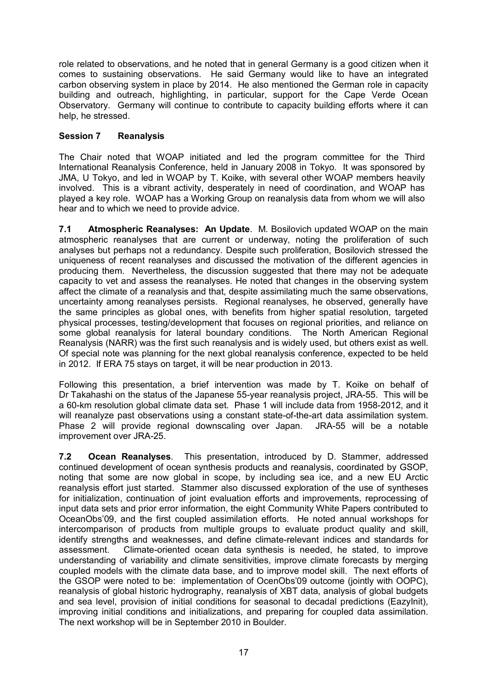role related to observations, and he noted that in general Germany is a good citizen when it comes to sustaining observations. He said Germany would like to have an integrated carbon observing system in place by 2014. He also mentioned the German role in capacity building and outreach, highlighting, in particular, support for the Cape Verde Ocean Observatory. Germany will continue to contribute to capacity building efforts where it can help, he stressed.

### **Session 7 Reanalysis**

The Chair noted that WOAP initiated and led the program committee for the Third International Reanalysis Conference, held in January 2008 in Tokyo. It was sponsored by JMA, U Tokyo, and led in WOAP by T. Koike, with several other WOAP members heavily involved. This is a vibrant activity, desperately in need of coordination, and WOAP has played a key role. WOAP has a Working Group on reanalysis data from whom we will also hear and to which we need to provide advice.

**7.1 Atmospheric Reanalyses: An Update**. M. Bosilovich updated WOAP on the main atmospheric reanalyses that are current or underway, noting the proliferation of such analyses but perhaps not a redundancy. Despite such proliferation, Bosilovich stressed the uniqueness of recent reanalyses and discussed the motivation of the different agencies in producing them. Nevertheless, the discussion suggested that there may not be adequate capacity to vet and assess the reanalyses. He noted that changes in the observing system affect the climate of a reanalysis and that, despite assimilating much the same observations, uncertainty among reanalyses persists. Regional reanalyses, he observed, generally have the same principles as global ones, with benefits from higher spatial resolution, targeted physical processes, testing/development that focuses on regional priorities, and reliance on some global reanalysis for lateral boundary conditions. The North American Regional Reanalysis (NARR) was the first such reanalysis and is widely used, but others exist as well. Of special note was planning for the next global reanalysis conference, expected to be held in 2012. If ERA 75 stays on target, it will be near production in 2013.

Following this presentation, a brief intervention was made by T. Koike on behalf of Dr Takahashi on the status of the Japanese 55-year reanalysis project, JRA-55. This will be a 60-km resolution global climate data set. Phase 1 will include data from 1958-2012, and it will reanalyze past observations using a constant state-of-the-art data assimilation system. Phase 2 will provide regional downscaling over Japan. JRA-55 will be a notable improvement over JRA-25.

**7.2 Ocean Reanalyses**. This presentation, introduced by D. Stammer, addressed continued development of ocean synthesis products and reanalysis, coordinated by GSOP, noting that some are now global in scope, by including sea ice, and a new EU Arctic reanalysis effort just started. Stammer also discussed exploration of the use of syntheses for initialization, continuation of joint evaluation efforts and improvements, reprocessing of input data sets and prior error information, the eight Community White Papers contributed to OceanObs'09, and the first coupled assimilation efforts. He noted annual workshops for intercomparison of products from multiple groups to evaluate product quality and skill, identify strengths and weaknesses, and define climate-relevant indices and standards for assessment. Climate-oriented ocean data synthesis is needed, he stated, to improve understanding of variability and climate sensitivities, improve climate forecasts by merging coupled models with the climate data base, and to improve model skill. The next efforts of the GSOP were noted to be: implementation of OcenObs'09 outcome (jointly with OOPC), reanalysis of global historic hydrography, reanalysis of XBT data, analysis of global budgets and sea level, provision of initial conditions for seasonal to decadal predictions (EazyInit), improving initial conditions and initializations, and preparing for coupled data assimilation. The next workshop will be in September 2010 in Boulder.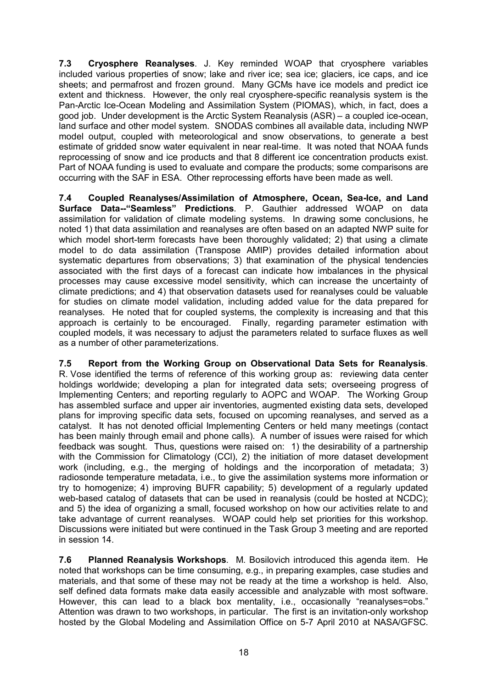**7.3 Cryosphere Reanalyses**. J. Key reminded WOAP that cryosphere variables included various properties of snow; lake and river ice; sea ice; glaciers, ice caps, and ice sheets; and permafrost and frozen ground. Many GCMs have ice models and predict ice extent and thickness. However, the only real cryosphere-specific reanalysis system is the Pan-Arctic Ice-Ocean Modeling and Assimilation System (PIOMAS), which, in fact, does a good job. Under development is the Arctic System Reanalysis  $(ASR) - a$  coupled ice-ocean, land surface and other model system. SNODAS combines all available data, including NWP model output, coupled with meteorological and snow observations, to generate a best estimate of gridded snow water equivalent in near real-time. It was noted that NOAA funds reprocessing of snow and ice products and that 8 different ice concentration products exist. Part of NOAA funding is used to evaluate and compare the products; some comparisons are occurring with the SAF in ESA. Other reprocessing efforts have been made as well.

**7.4 Coupled Reanalyses/Assimilation of Atmosphere, Ocean, SeaIce, and Land Surface Data--"Seamless" Predictions**. P. Gauthier addressed WOAP on data assimilation for validation of climate modeling systems. In drawing some conclusions, he noted 1) that data assimilation and reanalyses are often based on an adapted NWP suite for which model short-term forecasts have been thoroughly validated;  $2$ ) that using a climate model to do data assimilation (Transpose AMIP) provides detailed information about systematic departures from observations; 3) that examination of the physical tendencies associated with the first days of a forecast can indicate how imbalances in the physical processes may cause excessive model sensitivity, which can increase the uncertainty of climate predictions; and 4) that observation datasets used for reanalyses could be valuable for studies on climate model validation, including added value for the data prepared for reanalyses. He noted that for coupled systems, the complexity is increasing and that this approach is certainly to be encouraged. Finally, regarding parameter estimation with coupled models, it was necessary to adjust the parameters related to surface fluxes as well as a number of other parameterizations.

**7.5 Report from the Working Group on Observational Data Sets for Reanalysis**. R. Vose identified the terms of reference of this working group as: reviewing data center holdings worldwide; developing a plan for integrated data sets; overseeing progress of Implementing Centers; and reporting regularly to AOPC and WOAP. The Working Group has assembled surface and upper air inventories, augmented existing data sets, developed plans for improving specific data sets, focused on upcoming reanalyses, and served as a catalyst. It has not denoted official Implementing Centers or held many meetings (contact has been mainly through email and phone calls). A number of issues were raised for which feedback was sought. Thus, questions were raised on: 1) the desirability of a partnership with the Commission for Climatology (CCI), 2) the initiation of more dataset development work (including, e.g., the merging of holdings and the incorporation of metadata; 3) radiosonde temperature metadata, i.e., to give the assimilation systems more information or try to homogenize; 4) improving BUFR capability; 5) development of a regularly updated web-based catalog of datasets that can be used in reanalysis (could be hosted at NCDC); and 5) the idea of organizing a small, focused workshop on how our activities relate to and take advantage of current reanalyses. WOAP could help set priorities for this workshop. Discussions were initiated but were continued in the Task Group 3 meeting and are reported in session 14.

**7.6 Planned Reanalysis Workshops**. M. Bosilovich introduced this agenda item. He noted that workshops can be time consuming, e.g., in preparing examples, case studies and materials, and that some of these may not be ready at the time a workshop is held. Also, self defined data formats make data easily accessible and analyzable with most software. However, this can lead to a black box mentality, i.e., occasionally "reanalyses=obs." Attention was drawn to two workshops, in particular. The first is an invitation-only workshop hosted by the Global Modeling and Assimilation Office on 5-7 April 2010 at NASA/GFSC.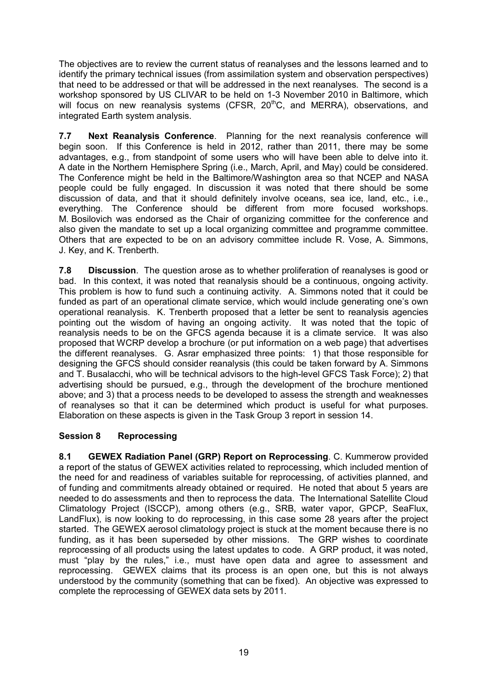The objectives are to review the current status of reanalyses and the lessons learned and to identify the primary technical issues (from assimilation system and observation perspectives) that need to be addressed or that will be addressed in the next reanalyses. The second is a workshop sponsored by US CLIVAR to be held on 1-3 November 2010 in Baltimore, which will focus on new reanalysis systems (CFSR, 20<sup>th</sup>C, and MERRA), observations, and integrated Earth system analysis.

**7.7 Next Reanalysis Conference**. Planning for the next reanalysis conference will begin soon. If this Conference is held in 2012, rather than 2011, there may be some advantages, e.g., from standpoint of some users who will have been able to delve into it. A date in the Northern Hemisphere Spring (i.e., March, April, and May) could be considered. The Conference might be held in the Baltimore/Washington area so that NCEP and NASA people could be fully engaged. In discussion it was noted that there should be some discussion of data, and that it should definitely involve oceans, sea ice, land, etc., i.e., everything. The Conference should be different from more focused workshops. M. Bosilovich was endorsed as the Chair of organizing committee for the conference and also given the mandate to set up a local organizing committee and programme committee. Others that are expected to be on an advisory committee include R. Vose, A. Simmons, J. Key, and K. Trenberth.

**7.8 Discussion**. The question arose as to whether proliferation of reanalyses is good or bad. In this context, it was noted that reanalysis should be a continuous, ongoing activity. This problem is how to fund such a continuing activity. A. Simmons noted that it could be funded as part of an operational climate service, which would include generating one's own operational reanalysis. K. Trenberth proposed that a letter be sent to reanalysis agencies pointing out the wisdom of having an ongoing activity. It was noted that the topic of reanalysis needs to be on the GFCS agenda because it is a climate service. It was also proposed that WCRP develop a brochure (or put information on a web page) that advertises the different reanalyses. G. Asrar emphasized three points: 1) that those responsible for designing the GFCS should consider reanalysis (this could be taken forward by A. Simmons and T. Busalacchi, who will be technical advisors to the high-level GFCS Task Force); 2) that advertising should be pursued, e.g., through the development of the brochure mentioned above; and 3) that a process needs to be developed to assess the strength and weaknesses of reanalyses so that it can be determined which product is useful for what purposes. Elaboration on these aspects is given in the Task Group 3 report in session 14.

### **Session 8 Reprocessing**

**8.1 GEWEX Radiation Panel (GRP) Report on Reprocessing**. C. Kummerow provided a report of the status of GEWEX activities related to reprocessing, which included mention of the need for and readiness of variables suitable for reprocessing, of activities planned, and of funding and commitments already obtained or required. He noted that about 5 years are needed to do assessments and then to reprocess the data. The International Satellite Cloud Climatology Project (ISCCP), among others (e.g., SRB, water vapor, GPCP, SeaFlux, LandFlux), is now looking to do reprocessing, in this case some 28 years after the project started. The GEWEX aerosol climatology project is stuck at the moment because there is no funding, as it has been superseded by other missions. The GRP wishes to coordinate reprocessing of all products using the latest updates to code. A GRP product, it was noted, must "play by the rules," i.e., must have open data and agree to assessment and reprocessing. GEWEX claims that its process is an open one, but this is not always understood by the community (something that can be fixed). An objective was expressed to complete the reprocessing of GEWEX data sets by 2011.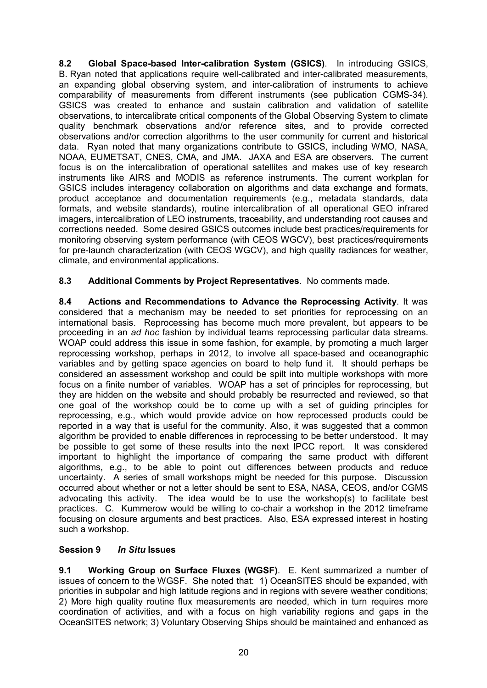**8.2 Global Spacebased Intercalibration System (GSICS)**. In introducing GSICS, B. Ryan noted that applications require well-calibrated and inter-calibrated measurements, an expanding global observing system, and intercalibration of instruments to achieve comparability of measurements from different instruments (see publication CGMS34). GSICS was created to enhance and sustain calibration and validation of satellite observations, to intercalibrate critical components of the Global Observing System to climate quality benchmark observations and/or reference sites, and to provide corrected observations and/or correction algorithms to the user community for current and historical data. Ryan noted that many organizations contribute to GSICS, including WMO, NASA, NOAA, EUMETSAT, CNES, CMA, and JMA. JAXA and ESA are observers. The current focus is on the intercalibration of operational satellites and makes use of key research instruments like AIRS and MODIS as reference instruments. The current workplan for GSICS includes interagency collaboration on algorithms and data exchange and formats, product acceptance and documentation requirements (e.g., metadata standards, data formats, and website standards), routine intercalibration of all operational GEO infrared imagers, intercalibration of LEO instruments, traceability, and understanding root causes and corrections needed. Some desired GSICS outcomes include best practices/requirements for monitoring observing system performance (with CEOS WGCV), best practices/requirements for pre-launch characterization (with CEOS WGCV), and high quality radiances for weather, climate, and environmental applications.

**8.3 Additional Comments by Project Representatives**. No comments made.

**8.4 Actions and Recommendations to Advance the Reprocessing Activity**. It was considered that a mechanism may be needed to set priorities for reprocessing on an international basis. Reprocessing has become much more prevalent, but appears to be proceeding in an *ad hoc* fashion by individual teams reprocessing particular data streams. WOAP could address this issue in some fashion, for example, by promoting a much larger reprocessing workshop, perhaps in 2012, to involve all space-based and oceanographic variables and by getting space agencies on board to help fund it. It should perhaps be considered an assessment workshop and could be spilt into multiple workshops with more focus on a finite number of variables. WOAP has a set of principles for reprocessing, but they are hidden on the website and should probably be resurrected and reviewed, so that one goal of the workshop could be to come up with a set of guiding principles for reprocessing, e.g., which would provide advice on how reprocessed products could be reported in a way that is useful for the community. Also, it was suggested that a common algorithm be provided to enable differences in reprocessing to be better understood. It may be possible to get some of these results into the next IPCC report. It was considered important to highlight the importance of comparing the same product with different algorithms, e.g., to be able to point out differences between products and reduce uncertainty. A series of small workshops might be needed for this purpose. Discussion occurred about whether or not a letter should be sent to ESA, NASA, CEOS, and/or CGMS advocating this activity. The idea would be to use the workshop(s) to facilitate best practices. C. Kummerow would be willing to cochair a workshop in the 2012 timeframe focusing on closure arguments and best practices. Also, ESA expressed interest in hosting such a workshop.

### **Session 9** *In Situ* **Issues**

**9.1 Working Group on Surface Fluxes (WGSF).** E. Kent summarized a number of issues of concern to the WGSF. She noted that: 1) OceanSITES should be expanded, with priorities in subpolar and high latitude regions and in regions with severe weather conditions; 2) More high quality routine flux measurements are needed, which in turn requires more coordination of activities, and with a focus on high variability regions and gaps in the OceanSITES network; 3) Voluntary Observing Ships should be maintained and enhanced as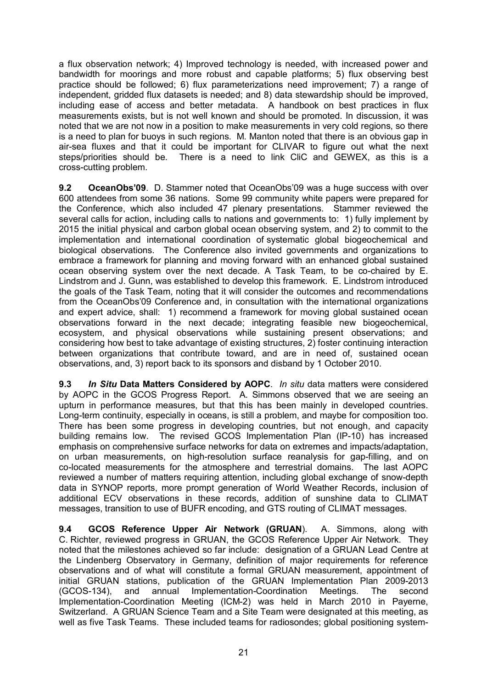a flux observation network; 4) Improved technology is needed, with increased power and bandwidth for moorings and more robust and capable platforms; 5) flux observing best practice should be followed; 6) flux parameterizations need improvement; 7) a range of independent, gridded flux datasets is needed; and 8) data stewardship should be improved, including ease of access and better metadata. A handbook on best practices in flux measurements exists, but is not well known and should be promoted. In discussion, it was noted that we are not now in a position to make measurements in very cold regions, so there is a need to plan for buoys in such regions. M. Manton noted that there is an obvious gap in air-sea fluxes and that it could be important for CLIVAR to figure out what the next steps/priorities should be. There is a need to link CliC and GEWEX, as this is a cross-cutting problem.

**9.2 OceanObs'09**. D. Stammer noted that OceanObs'09 was a huge success with over 600 attendees from some 36 nations. Some 99 community white papers were prepared for the Conference, which also included 47 plenary presentations. Stammer reviewed the several calls for action, including calls to nations and governments to: 1) fully implement by 2015 the initial physical and carbon global ocean observing system, and 2) to commit to the implementation and international coordination of systematic global biogeochemical and biological observations. The Conference also invited governments and organizations to embrace a framework for planning and moving forward with an enhanced global sustained ocean observing system over the next decade. A Task Team, to be cochaired by E. Lindstrom and J. Gunn, was established to develop this framework. E. Lindstrom introduced the goals of the Task Team, noting that it will consider the outcomes and recommendations from the OceanObs'09 Conference and, in consultation with the international organizations and expert advice, shall: 1) recommend a framework for moving global sustained ocean observations forward in the next decade; integrating feasible new biogeochemical, ecosystem, and physical observations while sustaining present observations; and considering how best to take advantage of existing structures, 2) foster continuing interaction between organizations that contribute toward, and are in need of, sustained ocean observations, and, 3) report back to its sponsors and disband by 1 October 2010.

**9.3** *In Situ* **Data Matters Considered by AOPC**. *In situ* data matters were considered by AOPC in the GCOS Progress Report. A. Simmons observed that we are seeing an upturn in performance measures, but that this has been mainly in developed countries. Long-term continuity, especially in oceans, is still a problem, and maybe for composition too. There has been some progress in developing countries, but not enough, and capacity building remains low. The revised GCOS Implementation Plan (IP-10) has increased emphasis on comprehensive surface networks for data on extremes and impacts/adaptation, on urban measurements, on high-resolution surface reanalysis for gap-filling, and on co-located measurements for the atmosphere and terrestrial domains. The last AOPC reviewed a number of matters requiring attention, including global exchange of snow-depth data in SYNOP reports, more prompt generation of World Weather Records, inclusion of additional ECV observations in these records, addition of sunshine data to CLIMAT messages, transition to use of BUFR encoding, and GTS routing of CLIMAT messages.

**9.4 GCOS Reference Upper Air Network (GRUAN**). A. Simmons, along with C. Richter, reviewed progress in GRUAN, the GCOS Reference Upper Air Network. They noted that the milestones achieved so far include: designation of a GRUAN Lead Centre at the Lindenberg Observatory in Germany, definition of major requirements for reference observations and of what will constitute a formal GRUAN measurement, appointment of initial GRUAN stations, publication of the GRUAN Implementation Plan 2009-2013 (GCOS-134), and annual Implementation-Coordination Meetings. The second Implementation-Coordination Meeting (ICM-2) was held in March 2010 in Payerne, Switzerland. A GRUAN Science Team and a Site Team were designated at this meeting, as well as five Task Teams. These included teams for radiosondes; global positioning system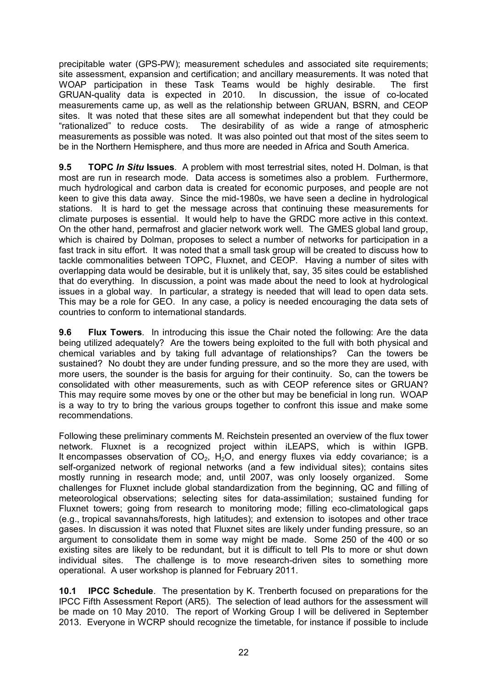precipitable water (GPSPW); measurement schedules and associated site requirements; site assessment, expansion and certification; and ancillary measurements. It was noted that WOAP participation in these Task Teams would be highly desirable. The first GRUAN-quality data is expected in 2010. In discussion, the issue of co-located measurements came up, as well as the relationship between GRUAN, BSRN, and CEOP sites. It was noted that these sites are all somewhat independent but that they could be "rationalized" to reduce costs. The desirability of as wide a range of atmospheric measurements as possible was noted. It was also pointed out that most of the sites seem to be in the Northern Hemisphere, and thus more are needed in Africa and South America.

**9.5 TOPC** *In Situ* **Issues**. A problem with most terrestrial sites, noted H. Dolman, is that most are run in research mode. Data access is sometimes also a problem. Furthermore, much hydrological and carbon data is created for economic purposes, and people are not keen to give this data away. Since the mid-1980s, we have seen a decline in hydrological stations. It is hard to get the message across that continuing these measurements for climate purposes is essential. It would help to have the GRDC more active in this context. On the other hand, permafrost and glacier network work well. The GMES global land group, which is chaired by Dolman, proposes to select a number of networks for participation in a fast track in situ effort. It was noted that a small task group will be created to discuss how to tackle commonalities between TOPC, Fluxnet, and CEOP. Having a number of sites with overlapping data would be desirable, but it is unlikely that, say, 35 sites could be established that do everything. In discussion, a point was made about the need to look at hydrological issues in a global way. In particular, a strategy is needed that will lead to open data sets. This may be a role for GEO. In any case, a policy is needed encouraging the data sets of countries to conform to international standards.

**9.6 Flux Towers**. In introducing this issue the Chair noted the following: Are the data being utilized adequately? Are the towers being exploited to the full with both physical and chemical variables and by taking full advantage of relationships? Can the towers be sustained? No doubt they are under funding pressure, and so the more they are used, with more users, the sounder is the basis for arguing for their continuity. So, can the towers be consolidated with other measurements, such as with CEOP reference sites or GRUAN? This may require some moves by one or the other but may be beneficial in long run. WOAP is a way to try to bring the various groups together to confront this issue and make some recommendations.

Following these preliminary comments M. Reichstein presented an overview of the flux tower network. Fluxnet is a recognized project within iLEAPS, which is within IGPB. It encompasses observation of  $CO<sub>2</sub>$ ,  $H<sub>2</sub>O$ , and energy fluxes via eddy covariance; is a self-organized network of regional networks (and a few individual sites); contains sites mostly running in research mode; and, until 2007, was only loosely organized. Some challenges for Fluxnet include global standardization from the beginning, QC and filling of meteorological observations; selecting sites for data-assimilation; sustained funding for Fluxnet towers; going from research to monitoring mode; filling eco-climatological gaps (e.g., tropical savannahs/forests, high latitudes); and extension to isotopes and other trace gases. In discussion it was noted that Fluxnet sites are likely under funding pressure, so an argument to consolidate them in some way might be made. Some 250 of the 400 or so existing sites are likely to be redundant, but it is difficult to tell PIs to more or shut down individual sites. The challenge is to move research-driven sites to something more operational. A user workshop is planned for February 2011.

**10.1 IPCC Schedule**. The presentation by K. Trenberth focused on preparations for the IPCC Fifth Assessment Report (AR5). The selection of lead authors for the assessment will be made on 10 May 2010. The report of Working Group I will be delivered in September 2013. Everyone in WCRP should recognize the timetable, for instance if possible to include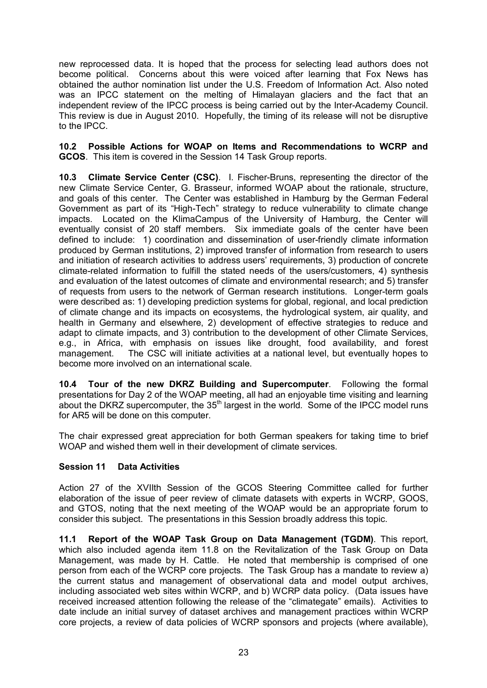new reprocessed data. It is hoped that the process for selecting lead authors does not become political. Concerns about this were voiced after learning that Fox News has obtained the author nomination list under the U.S. Freedom of Information Act. Also noted was an IPCC statement on the melting of Himalayan glaciers and the fact that an independent review of the IPCC process is being carried out by the Inter-Academy Council. This review is due in August 2010. Hopefully, the timing of its release will not be disruptive to the IPCC.

**10.2 Possible Actions for WOAP on Items and Recommendations to WCRP and GCOS**. This item is covered in the Session 14 Task Group reports.

**10.3 Climate Service Center (CSC).** I. Fischer-Bruns, representing the director of the new Climate Service Center, G. Brasseur, informed WOAP about the rationale, structure, and goals of this center. The Center was established in Hamburg by the German Federal Government as part of its "High-Tech" strategy to reduce vulnerability to climate change impacts. Located on the KlimaCampus of the University of Hamburg, the Center will eventually consist of 20 staff members. Six immediate goals of the center have been defined to include: 1) coordination and dissemination of userfriendly climate information produced by German institutions, 2) improved transfer of information from research to users and initiation of research activities to address users' requirements, 3) production of concrete climate-related information to fulfill the stated needs of the users/customers, 4) synthesis and evaluation of the latest outcomes of climate and environmental research; and 5) transfer of requests from users to the network of German research institutions. Longer-term goals were described as: 1) developing prediction systems for global, regional, and local prediction of climate change and its impacts on ecosystems, the hydrological system, air quality, and health in Germany and elsewhere, 2) development of effective strategies to reduce and adapt to climate impacts, and 3) contribution to the development of other Climate Services, e.g., in Africa, with emphasis on issues like drought, food availability, and forest management. The CSC will initiate activities at a national level, but eventually hopes to become more involved on an international scale.

**10.4 Tour of the new DKRZ Building and Supercomputer**. Following the formal presentations for Day 2 of the WOAP meeting, all had an enjoyable time visiting and learning about the DKRZ supercomputer, the  $35<sup>th</sup>$  largest in the world. Some of the IPCC model runs for AR5 will be done on this computer.

The chair expressed great appreciation for both German speakers for taking time to brief WOAP and wished them well in their development of climate services.

### **Session 11 Data Activities**

Action 27 of the XVIIth Session of the GCOS Steering Committee called for further elaboration of the issue of peer review of climate datasets with experts in WCRP, GOOS, and GTOS, noting that the next meeting of the WOAP would be an appropriate forum to consider this subject. The presentations in this Session broadly address this topic.

**11.1 Report of the WOAP Task Group on Data Management (TGDM)**. This report, which also included agenda item 11.8 on the Revitalization of the Task Group on Data Management, was made by H. Cattle. He noted that membership is comprised of one person from each of the WCRP core projects. The Task Group has a mandate to review a) the current status and management of observational data and model output archives, including associated web sites within WCRP, and b) WCRP data policy. (Data issues have received increased attention following the release of the "climategate" emails). Activities to date include an initial survey of dataset archives and management practices within WCRP core projects, a review of data policies of WCRP sponsors and projects (where available),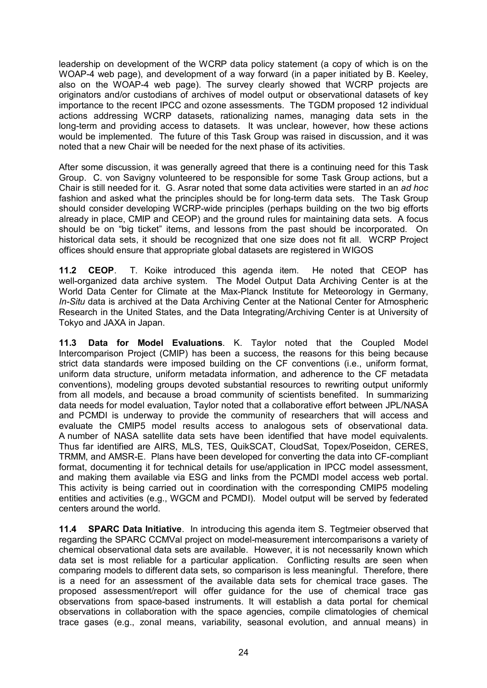leadership on development of the WCRP data policy statement (a copy of which is on the WOAP4 web page), and development of a way forward (in a paper initiated by B. Keeley, also on the WOAP4 web page). The survey clearly showed that WCRP projects are originators and/or custodians of archives of model output or observational datasets of key importance to the recent IPCC and ozone assessments. The TGDM proposed 12 individual actions addressing WCRP datasets, rationalizing names, managing data sets in the long-term and providing access to datasets. It was unclear, however, how these actions would be implemented. The future of this Task Group was raised in discussion, and it was noted that a new Chair will be needed for the next phase of its activities.

After some discussion, it was generally agreed that there is a continuing need for this Task Group. C. von Savigny volunteered to be responsible for some Task Group actions, but a Chair is still needed for it. G. Asrar noted that some data activities were started in an *ad hoc* fashion and asked what the principles should be for long-term data sets. The Task Group should consider developing WCRP-wide principles (perhaps building on the two big efforts already in place, CMIP and CEOP) and the ground rules for maintaining data sets. A focus should be on "big ticket" items, and lessons from the past should be incorporated. On historical data sets, it should be recognized that one size does not fit all. WCRP Project offices should ensure that appropriate global datasets are registered in WIGOS

**11.2 CEOP**. T. Koike introduced this agenda item. He noted that CEOP has well-organized data archive system. The Model Output Data Archiving Center is at the World Data Center for Climate at the Max-Planck Institute for Meteorology in Germany, *In-Situ* data is archived at the Data Archiving Center at the National Center for Atmospheric Research in the United States, and the Data Integrating/Archiving Center is at University of Tokyo and JAXA in Japan.

**11.3 Data for Model Evaluations**. K. Taylor noted that the Coupled Model Intercomparison Project (CMIP) has been a success, the reasons for this being because strict data standards were imposed building on the CF conventions (i.e., uniform format, uniform data structure, uniform metadata information, and adherence to the CF metadata conventions), modeling groups devoted substantial resources to rewriting output uniformly from all models, and because a broad community of scientists benefited. In summarizing data needs for model evaluation, Taylor noted that a collaborative effort between JPL/NASA and PCMDI is underway to provide the community of researchers that will access and evaluate the CMIP5 model results access to analogous sets of observational data. A number of NASA satellite data sets have been identified that have model equivalents. Thus far identified are AIRS, MLS, TES, QuikSCAT, CloudSat, Topex/Poseidon, CERES, TRMM, and AMSR-E. Plans have been developed for converting the data into CF-compliant format, documenting it for technical details for use/application in IPCC model assessment, and making them available via ESG and links from the PCMDI model access web portal. This activity is being carried out in coordination with the corresponding CMIP5 modeling entities and activities (e.g., WGCM and PCMDI). Model output will be served by federated centers around the world.

**11.4 SPARC Data Initiative**. In introducing this agenda item S. Tegtmeier observed that regarding the SPARC CCMVal project on model-measurement intercomparisons a variety of chemical observational data sets are available. However, it is not necessarily known which data set is most reliable for a particular application. Conflicting results are seen when comparing models to different data sets, so comparison is less meaningful. Therefore, there is a need for an assessment of the available data sets for chemical trace gases. The proposed assessment/report will offer guidance for the use of chemical trace gas observations from space-based instruments. It will establish a data portal for chemical observations in collaboration with the space agencies, compile climatologies of chemical trace gases (e.g., zonal means, variability, seasonal evolution, and annual means) in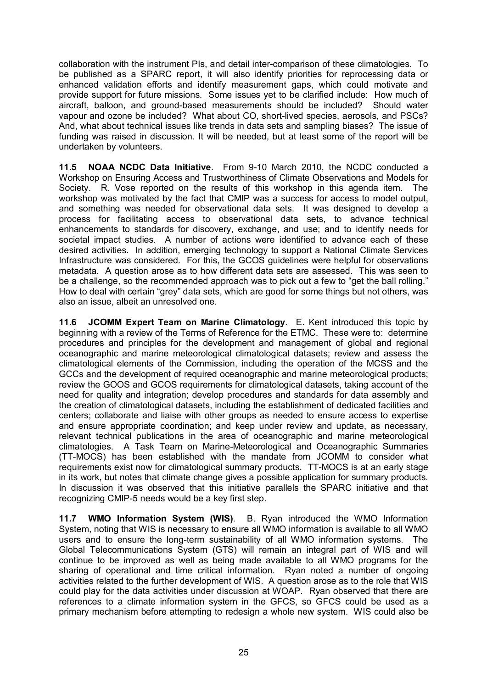collaboration with the instrument PIs, and detail intercomparison of these climatologies. To be published as a SPARC report, it will also identify priorities for reprocessing data or enhanced validation efforts and identify measurement gaps, which could motivate and provide support for future missions. Some issues yet to be clarified include: How much of aircraft, balloon, and ground-based measurements should be included? Should water vapour and ozone be included? What about CO, short-lived species, aerosols, and PSCs? And, what about technical issues like trends in data sets and sampling biases? The issue of funding was raised in discussion. It will be needed, but at least some of the report will be undertaken by volunteers.

**11.5 NOAA NCDC Data Initiative**. From 910 March 2010, the NCDC conducted a Workshop on Ensuring Access and Trustworthiness of Climate Observations and Models for Society. R. Vose reported on the results of this workshop in this agenda item. The workshop was motivated by the fact that CMIP was a success for access to model output, and something was needed for observational data sets. It was designed to develop a process for facilitating access to observational data sets, to advance technical enhancements to standards for discovery, exchange, and use; and to identify needs for societal impact studies. A number of actions were identified to advance each of these desired activities. In addition, emerging technology to support a National Climate Services Infrastructure was considered. For this, the GCOS guidelines were helpful for observations metadata. A question arose as to how different data sets are assessed. This was seen to be a challenge, so the recommended approach was to pick out a few to "get the ball rolling." How to deal with certain "grey" data sets, which are good for some things but not others, was also an issue, albeit an unresolved one.

**11.6 JCOMM Expert Team on Marine Climatology**. E. Kent introduced this topic by beginning with a review of the Terms of Reference for the ETMC. These were to: determine procedures and principles for the development and management of global and regional oceanographic and marine meteorological climatological datasets; review and assess the climatological elements of the Commission, including the operation of the MCSS and the GCCs and the development of required oceanographic and marine meteorological products; review the GOOS and GCOS requirements for climatological datasets, taking account of the need for quality and integration; develop procedures and standards for data assembly and the creation of climatological datasets, including the establishment of dedicated facilities and centers; collaborate and liaise with other groups as needed to ensure access to expertise and ensure appropriate coordination; and keep under review and update, as necessary, relevant technical publications in the area of oceanographic and marine meteorological climatologies. A Task Team on Marine-Meteorological and Oceanographic Summaries (TT-MOCS) has been established with the mandate from JCOMM to consider what requirements exist now for climatological summary products. TT-MOCS is at an early stage in its work, but notes that climate change gives a possible application for summary products. In discussion it was observed that this initiative parallels the SPARC initiative and that recognizing CMIP-5 needs would be a key first step.

**11.7 WMO Information System (WIS)**. B. Ryan introduced the WMO Information System, noting that WIS is necessary to ensure all WMO information is available to all WMO users and to ensure the long-term sustainability of all WMO information systems. The Global Telecommunications System (GTS) will remain an integral part of WIS and will continue to be improved as well as being made available to all WMO programs for the sharing of operational and time critical information. Ryan noted a number of ongoing activities related to the further development of WIS. A question arose as to the role that WIS could play for the data activities under discussion at WOAP. Ryan observed that there are references to a climate information system in the GFCS, so GFCS could be used as a primary mechanism before attempting to redesign a whole new system. WIS could also be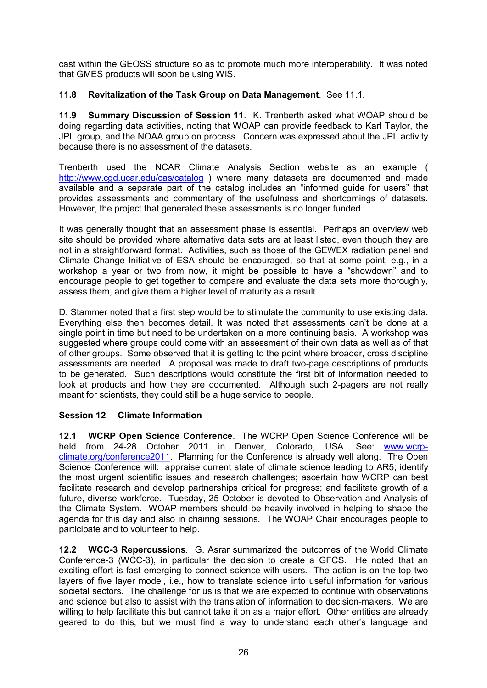cast within the GEOSS structure so as to promote much more interoperability. It was noted that GMES products will soon be using WIS.

### **11.8 Revitalization of the Task Group on Data Management**. See 11.1.

**11.9 Summary Discussion of Session 11**. K. Trenberth asked what WOAP should be doing regarding data activities, noting that WOAP can provide feedback to Karl Taylor, the JPL group, and the NOAA group on process. Concern was expressed about the JPL activity because there is no assessment of the datasets.

Trenberth used the NCAR Climate Analysis Section website as an example ( <http://www.cgd.ucar.edu/cas/catalog> ) where many datasets are documented and made available and a separate part of the catalog includes an "informed guide for users" that provides assessments and commentary of the usefulness and shortcomings of datasets. However, the project that generated these assessments is no longer funded.

It was generally thought that an assessment phase is essential. Perhaps an overview web site should be provided where alternative data sets are at least listed, even though they are not in a straightforward format. Activities, such as those of the GEWEX radiation panel and Climate Change Initiative of ESA should be encouraged, so that at some point, e.g., in a workshop a year or two from now, it might be possible to have a "showdown" and to encourage people to get together to compare and evaluate the data sets more thoroughly, assess them, and give them a higher level of maturity as a result.

D. Stammer noted that a first step would be to stimulate the community to use existing data. Everything else then becomes detail. It was noted that assessments can't be done at a single point in time but need to be undertaken on a more continuing basis. A workshop was suggested where groups could come with an assessment of their own data as well as of that of other groups. Some observed that it is getting to the point where broader, cross discipline assessments are needed. A proposal was made to draft two-page descriptions of products to be generated. Such descriptions would constitute the first bit of information needed to look at products and how they are documented. Although such 2-pagers are not really meant for scientists, they could still be a huge service to people.

### **Session 12 Climate Information**

**12.1 WCRP Open Science Conference**. The WCRP Open Science Conference will be held from 24-28 October 2011 in Denver, Colorado, USA. See: www.wcrp[climate.org/conference2011.](http://www.wcrp-climate.org/conference2011)  Planning for the Conference is already well along. The Open Science Conference will: appraise current state of climate science leading to AR5; identify the most urgent scientific issues and research challenges; ascertain how WCRP can best facilitate research and develop partnerships critical for progress; and facilitate growth of a future, diverse workforce. Tuesday, 25 October is devoted to Observation and Analysis of the Climate System. WOAP members should be heavily involved in helping to shape the agenda for this day and also in chairing sessions. The WOAP Chair encourages people to participate and to volunteer to help.

**12.2 WCC3 Repercussions**. G. Asrar summarized the outcomes of the World Climate Conference-3 (WCC-3), in particular the decision to create a GFCS. He noted that an exciting effort is fast emerging to connect science with users. The action is on the top two layers of five layer model, i.e., how to translate science into useful information for various societal sectors. The challenge for us is that we are expected to continue with observations and science but also to assist with the translation of information to decision-makers. We are willing to help facilitate this but cannot take it on as a major effort. Other entities are already geared to do this, but we must find a way to understand each other's language and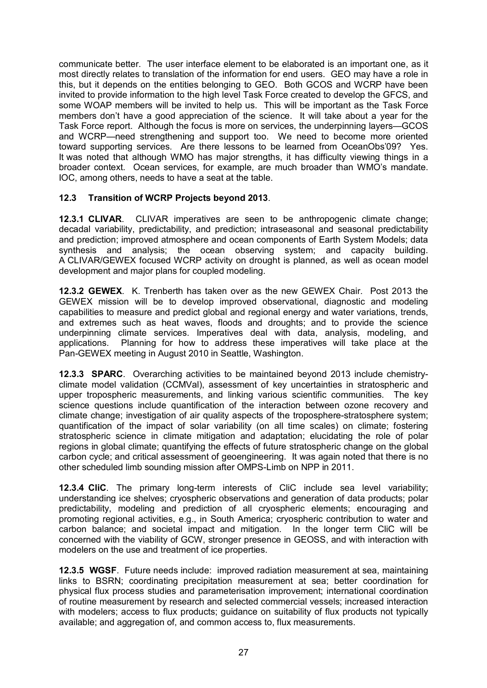communicate better. The user interface element to be elaborated is an important one, as it most directly relates to translation of the information for end users. GEO may have a role in this, but it depends on the entities belonging to GEO. Both GCOS and WCRP have been invited to provide information to the high level Task Force created to develop the GFCS, and some WOAP members will be invited to help us. This will be important as the Task Force members don't have a good appreciation of the science. It will take about a year for the Task Force report. Although the focus is more on services, the underpinning layers—GCOS and WCRP—need strengthening and support too. We need to become more oriented toward supporting services. Are there lessons to be learned from OceanObs'09? Yes. It was noted that although WMO has major strengths, it has difficulty viewing things in a broader context. Ocean services, for example, are much broader than WMO's mandate. IOC, among others, needs to have a seat at the table.

### **12.3 Transition of WCRP Projects beyond 2013**.

**12.3.1 CLIVAR**. CLIVAR imperatives are seen to be anthropogenic climate change; decadal variability, predictability, and prediction; intraseasonal and seasonal predictability and prediction; improved atmosphere and ocean components of Earth System Models; data synthesis and analysis; the ocean observing system; and capacity building. A CLIVAR/GEWEX focused WCRP activity on drought is planned, as well as ocean model development and major plans for coupled modeling.

**12.3.2 GEWEX**. K. Trenberth has taken over as the new GEWEX Chair. Post 2013 the GEWEX mission will be to develop improved observational, diagnostic and modeling capabilities to measure and predict global and regional energy and water variations, trends, and extremes such as heat waves, floods and droughts; and to provide the science underpinning climate services. Imperatives deal with data, analysis, modeling, and applications. Planning for how to address these imperatives will take place at the Pan-GEWEX meeting in August 2010 in Seattle, Washington.

**12.3.3 SPARC**. Overarching activities to be maintained beyond 2013 include chemistryclimate model validation (CCMVal), assessment of key uncertainties in stratospheric and upper tropospheric measurements, and linking various scientific communities. The key science questions include quantification of the interaction between ozone recovery and climate change; investigation of air quality aspects of the troposphere-stratosphere system; quantification of the impact of solar variability (on all time scales) on climate; fostering stratospheric science in climate mitigation and adaptation; elucidating the role of polar regions in global climate; quantifying the effects of future stratospheric change on the global carbon cycle; and critical assessment of geoengineering. It was again noted that there is no other scheduled limb sounding mission after OMPSLimb on NPP in 2011.

**12.3.4 CliC**. The primary long-term interests of CliC include sea level variability; understanding ice shelves; cryospheric observations and generation of data products; polar predictability, modeling and prediction of all cryospheric elements; encouraging and promoting regional activities, e.g., in South America; cryospheric contribution to water and carbon balance; and societal impact and mitigation. In the longer term CliC will be concerned with the viability of GCW, stronger presence in GEOSS, and with interaction with modelers on the use and treatment of ice properties.

**12.3.5 WGSF**. Future needs include: improved radiation measurement at sea, maintaining links to BSRN; coordinating precipitation measurement at sea; better coordination for physical flux process studies and parameterisation improvement; international coordination of routine measurement by research and selected commercial vessels; increased interaction with modelers; access to flux products; guidance on suitability of flux products not typically available; and aggregation of, and common access to, flux measurements.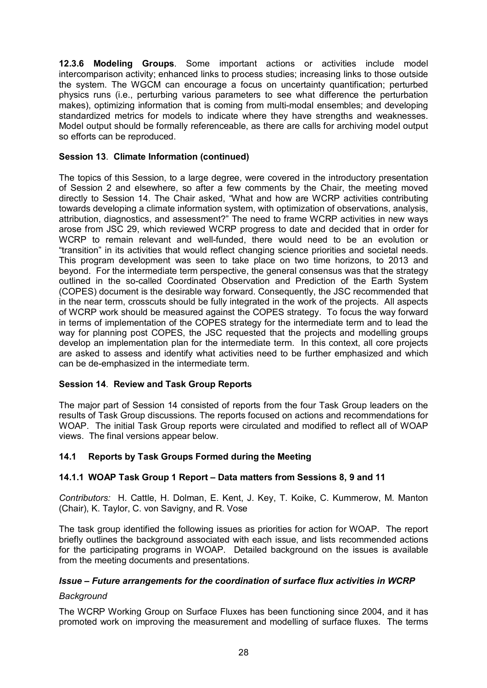**12.3.6 Modeling Groups**. Some important actions or activities include model intercomparison activity; enhanced links to process studies; increasing links to those outside the system. The WGCM can encourage a focus on uncertainty quantification; perturbed physics runs (i.e., perturbing various parameters to see what difference the perturbation makes), optimizing information that is coming from multi-modal ensembles; and developing standardized metrics for models to indicate where they have strengths and weaknesses. Model output should be formally referenceable, as there are calls for archiving model output so efforts can be reproduced.

### **Session 13**. **Climate Information (continued)**

The topics of this Session, to a large degree, were covered in the introductory presentation of Session 2 and elsewhere, so after a few comments by the Chair, the meeting moved directly to Session 14. The Chair asked, "What and how are WCRP activities contributing towards developing a climate information system, with optimization of observations, analysis, attribution, diagnostics, and assessment?" The need to frame WCRP activities in new ways arose from JSC 29, which reviewed WCRP progress to date and decided that in order for WCRP to remain relevant and well-funded, there would need to be an evolution or "transition" in its activities that would reflect changing science priorities and societal needs. This program development was seen to take place on two time horizons, to 2013 and beyond. For the intermediate term perspective, the general consensus was that the strategy outlined in the so-called Coordinated Observation and Prediction of the Earth System (COPES) document is the desirable way forward. Consequently, the JSC recommended that in the near term, crosscuts should be fully integrated in the work of the projects. All aspects of WCRP work should be measured against the COPES strategy. To focus the way forward in terms of implementation of the COPES strategy for the intermediate term and to lead the way for planning post COPES, the JSC requested that the projects and modelling groups develop an implementation plan for the intermediate term. In this context, all core projects are asked to assess and identify what activities need to be further emphasized and which can be de-emphasized in the intermediate term.

### **Session 14**. **Review and Task Group Reports**

The major part of Session 14 consisted of reports from the four Task Group leaders on the results of Task Group discussions. The reports focused on actions and recommendations for WOAP. The initial Task Group reports were circulated and modified to reflect all of WOAP views. The final versions appear below.

### **14.1 Reports by Task Groups Formed during the Meeting**

### **14.1.1 WOAP Task Group 1 Report – Data matters from Sessions 8, 9 and 11**

*Contributors:* H. Cattle, H. Dolman, E. Kent, J. Key, T. Koike, C. Kummerow, M. Manton (Chair), K. Taylor, C. von Savigny, and R. Vose

The task group identified the following issues as priorities for action for WOAP. The report briefly outlines the background associated with each issue, and lists recommended actions for the participating programs in WOAP. Detailed background on the issues is available from the meeting documents and presentations.

### *Issue – Future arrangements for the coordination of surface flux activities in WCRP*

### *Background*

The WCRP Working Group on Surface Fluxes has been functioning since 2004, and it has promoted work on improving the measurement and modelling of surface fluxes. The terms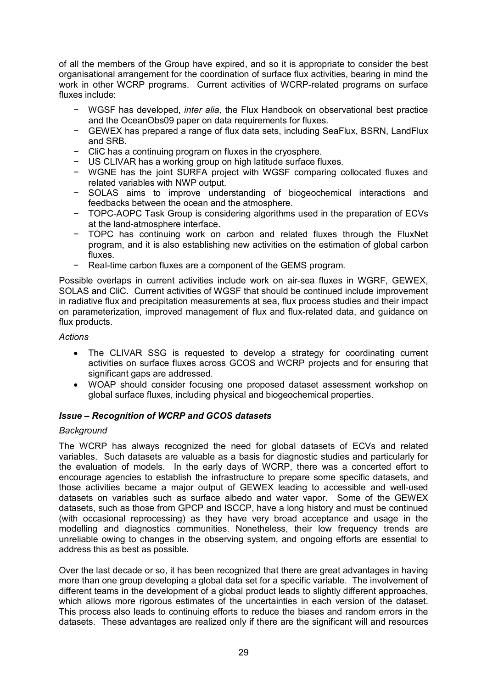of all the members of the Group have expired, and so it is appropriate to consider the best organisational arrangement for the coordination of surface flux activities, bearing in mind the work in other WCRP programs. Current activities of WCRP-related programs on surface fluxes include:

- − WGSF has developed, *inter alia,* the Flux Handbook on observational best practice and the OceanObs09 paper on data requirements for fluxes.
- − GEWEX has prepared a range of flux data sets, including SeaFlux, BSRN, LandFlux and SRB.
- CliC has a continuing program on fluxes in the cryosphere.
- − US CLIVAR has a working group on high latitude surface fluxes.
- − WGNE has the joint SURFA project with WGSF comparing collocated fluxes and related variables with NWP output.
- − SOLAS aims to improve understanding of biogeochemical interactions and feedbacks between the ocean and the atmosphere.
- − TOPCAOPC Task Group is considering algorithms used in the preparation of ECVs at the land-atmosphere interface.
- − TOPC has continuing work on carbon and related fluxes through the FluxNet program, and it is also establishing new activities on the estimation of global carbon fluxes.
- − Real-time carbon fluxes are a component of the GEMS program.

Possible overlaps in current activities include work on air-sea fluxes in WGRF, GEWEX, SOLAS and CliC. Current activities of WGSF that should be continued include improvement in radiative flux and precipitation measurements at sea, flux process studies and their impact on parameterization, improved management of flux and fluxrelated data, and guidance on flux products.

### *Actions*

- The CLIVAR SSG is requested to develop a strategy for coordinating current activities on surface fluxes across GCOS and WCRP projects and for ensuring that significant gaps are addressed.
- · WOAP should consider focusing one proposed dataset assessment workshop on global surface fluxes, including physical and biogeochemical properties.

### *Issue – Recognition of WCRP and GCOS datasets*

### *Background*

The WCRP has always recognized the need for global datasets of ECVs and related variables. Such datasets are valuable as a basis for diagnostic studies and particularly for the evaluation of models. In the early days of WCRP, there was a concerted effort to encourage agencies to establish the infrastructure to prepare some specific datasets, and those activities became a major output of GEWEX leading to accessible and well-used datasets on variables such as surface albedo and water vapor. Some of the GEWEX datasets, such as those from GPCP and ISCCP, have a long history and must be continued (with occasional reprocessing) as they have very broad acceptance and usage in the modelling and diagnostics communities. Nonetheless, their low frequency trends are unreliable owing to changes in the observing system, and ongoing efforts are essential to address this as best as possible.

Over the last decade or so, it has been recognized that there are great advantages in having more than one group developing a global data set for a specific variable. The involvement of different teams in the development of a global product leads to slightly different approaches, which allows more rigorous estimates of the uncertainties in each version of the dataset. This process also leads to continuing efforts to reduce the biases and random errors in the datasets. These advantages are realized only if there are the significant will and resources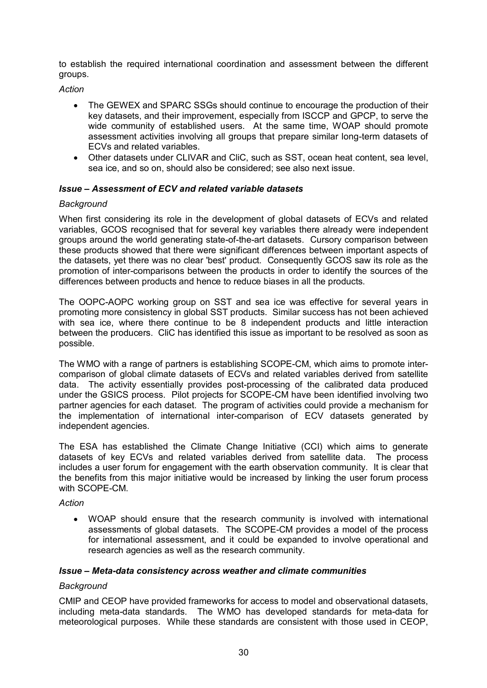to establish the required international coordination and assessment between the different groups.

*Action*

- · The GEWEX and SPARC SSGs should continue to encourage the production of their key datasets, and their improvement, especially from ISCCP and GPCP, to serve the wide community of established users. At the same time, WOAP should promote assessment activities involving all groups that prepare similar long-term datasets of ECVs and related variables.
- · Other datasets under CLIVAR and CliC, such as SST, ocean heat content, sea level, sea ice, and so on, should also be considered; see also next issue.

### *Issue – Assessment of ECV and related variable datasets*

### *Background*

When first considering its role in the development of global datasets of ECVs and related variables, GCOS recognised that for several key variables there already were independent groups around the world generating state-of-the-art datasets. Cursory comparison between these products showed that there were significant differences between important aspects of the datasets, yet there was no clear 'best' product. Consequently GCOS saw its role as the promotion of intercomparisons between the products in order to identify the sources of the differences between products and hence to reduce biases in all the products.

The OOPC-AOPC working group on SST and sea ice was effective for several years in promoting more consistency in global SST products. Similar success has not been achieved with sea ice, where there continue to be 8 independent products and little interaction between the producers. CliC has identified this issue as important to be resolved as soon as possible.

The WMO with a range of partners is establishing SCOPECM, which aims to promote inter comparison of global climate datasets of ECVs and related variables derived from satellite data. The activity essentially provides post-processing of the calibrated data produced under the GSICS process. Pilot projects for SCOPE-CM have been identified involving two partner agencies for each dataset. The program of activities could provide a mechanism for the implementation of international inter-comparison of ECV datasets generated by independent agencies.

The ESA has established the Climate Change Initiative (CCI) which aims to generate datasets of key ECVs and related variables derived from satellite data. The process includes a user forum for engagement with the earth observation community. It is clear that the benefits from this major initiative would be increased by linking the user forum process with SCOPE-CM.

#### *Action*

· WOAP should ensure that the research community is involved with international assessments of global datasets. The SCOPECM provides a model of the process for international assessment, and it could be expanded to involve operational and research agencies as well as the research community.

### *Issue – Metadata consistency across weather and climate communities*

#### *Background*

CMIP and CEOP have provided frameworks for access to model and observational datasets, including meta-data standards. The WMO has developed standards for meta-data for meteorological purposes. While these standards are consistent with those used in CEOP,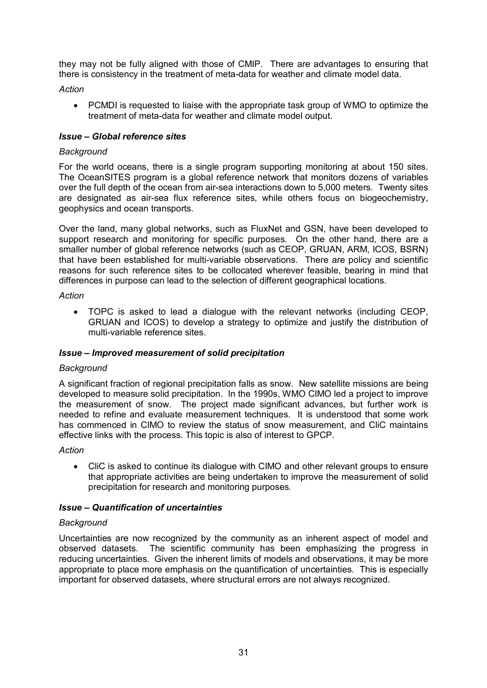they may not be fully aligned with those of CMIP. There are advantages to ensuring that there is consistency in the treatment of meta-data for weather and climate model data.

*Action*

· PCMDI is requested to liaise with the appropriate task group of WMO to optimize the treatment of meta-data for weather and climate model output.

### *Issue – Global reference sites*

### *Background*

For the world oceans, there is a single program supporting monitoring at about 150 sites. The OceanSITES program is a global reference network that monitors dozens of variables over the full depth of the ocean from air-sea interactions down to 5,000 meters. Twenty sites are designated as air-sea flux reference sites, while others focus on biogeochemistry, geophysics and ocean transports.

Over the land, many global networks, such as FluxNet and GSN, have been developed to support research and monitoring for specific purposes. On the other hand, there are a smaller number of global reference networks (such as CEOP, GRUAN, ARM, ICOS, BSRN) that have been established for multi-variable observations. There are policy and scientific reasons for such reference sites to be collocated wherever feasible, bearing in mind that differences in purpose can lead to the selection of different geographical locations.

#### *Action*

· TOPC is asked to lead a dialogue with the relevant networks (including CEOP, GRUAN and ICOS) to develop a strategy to optimize and justify the distribution of multi-variable reference sites.

### *Issue – Improved measurement of solid precipitation*

#### *Background*

A significant fraction of regional precipitation falls as snow. New satellite missions are being developed to measure solid precipitation. In the 1990s, WMO CIMO led a project to improve the measurement of snow. The project made significant advances, but further work is needed to refine and evaluate measurement techniques. It is understood that some work has commenced in CIMO to review the status of snow measurement, and CliC maintains effective links with the process. This topic is also of interest to GPCP.

*Action*

· CliC is asked to continue its dialogue with CIMO and other relevant groups to ensure that appropriate activities are being undertaken to improve the measurement of solid precipitation for research and monitoring purposes.

### *Issue – Quantification of uncertainties*

### *Background*

Uncertainties are now recognized by the community as an inherent aspect of model and observed datasets. The scientific community has been emphasizing the progress in reducing uncertainties. Given the inherent limits of models and observations, it may be more appropriate to place more emphasis on the quantification of uncertainties. This is especially important for observed datasets, where structural errors are not always recognized.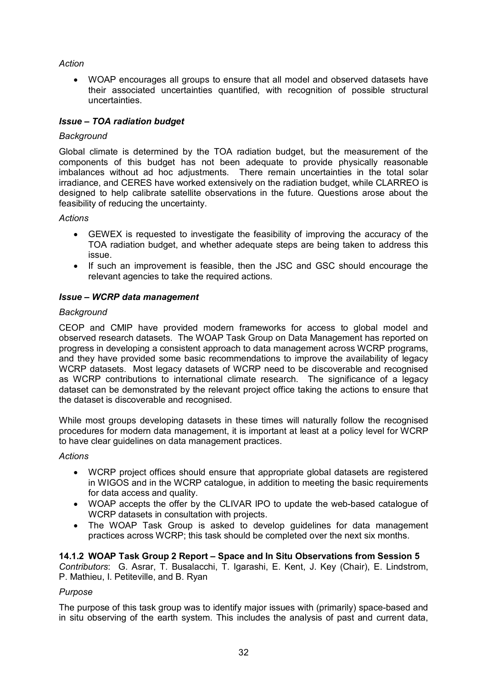### *Action*

· WOAP encourages all groups to ensure that all model and observed datasets have their associated uncertainties quantified, with recognition of possible structural uncertainties.

### *Issue – TOA radiation budget*

### *Background*

Global climate is determined by the TOA radiation budget, but the measurement of the components of this budget has not been adequate to provide physically reasonable imbalances without ad hoc adjustments. There remain uncertainties in the total solar irradiance, and CERES have worked extensively on the radiation budget, while CLARREO is designed to help calibrate satellite observations in the future. Questions arose about the feasibility of reducing the uncertainty.

### *Actions*

- · GEWEX is requested to investigate the feasibility of improving the accuracy of the TOA radiation budget, and whether adequate steps are being taken to address this issue.
- · If such an improvement is feasible, then the JSC and GSC should encourage the relevant agencies to take the required actions.

### *Issue – WCRP data management*

### *Background*

CEOP and CMIP have provided modern frameworks for access to global model and observed research datasets. The WOAP Task Group on Data Management has reported on progress in developing a consistent approach to data management across WCRP programs, and they have provided some basic recommendations to improve the availability of legacy WCRP datasets. Most legacy datasets of WCRP need to be discoverable and recognised as WCRP contributions to international climate research. The significance of a legacy dataset can be demonstrated by the relevant project office taking the actions to ensure that the dataset is discoverable and recognised.

While most groups developing datasets in these times will naturally follow the recognised procedures for modern data management, it is important at least at a policy level for WCRP to have clear guidelines on data management practices.

### *Actions*

- · WCRP project offices should ensure that appropriate global datasets are registered in WIGOS and in the WCRP catalogue, in addition to meeting the basic requirements for data access and quality.
- WOAP accepts the offer by the CLIVAR IPO to update the web-based catalogue of WCRP datasets in consultation with projects.
- · The WOAP Task Group is asked to develop guidelines for data management practices across WCRP; this task should be completed over the next six months.

### **14.1.2 WOAP Task Group 2 Report – Space and In Situ Observations from Session 5**

*Contributors*: G. Asrar, T. Busalacchi, T. Igarashi, E. Kent, J. Key (Chair), E. Lindstrom, P. Mathieu, I. Petiteville, and B. Ryan

### *Purpose*

The purpose of this task group was to identify major issues with (primarily) space-based and in situ observing of the earth system. This includes the analysis of past and current data,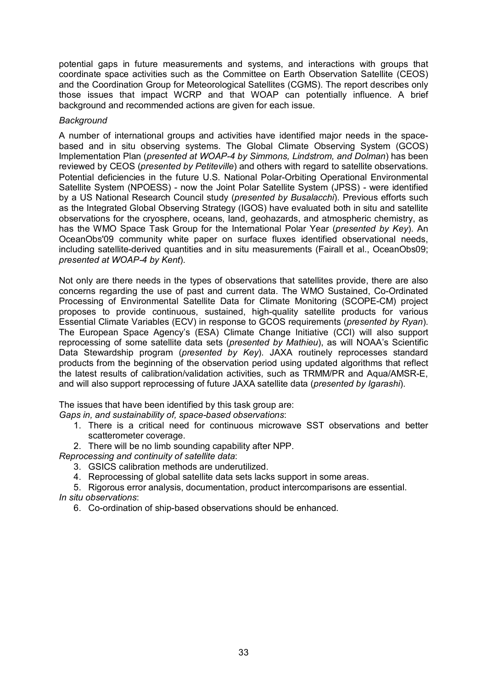potential gaps in future measurements and systems, and interactions with groups that coordinate space activities such as the Committee on Earth Observation Satellite (CEOS) and the Coordination Group for Meteorological Satellites (CGMS). The report describes only those issues that impact WCRP and that WOAP can potentially influence. A brief background and recommended actions are given for each issue.

#### *Background*

A number of international groups and activities have identified major needs in the space based and in situ observing systems. The Global Climate Observing System (GCOS) Implementation Plan (*presented at WOAP4 by Simmons, Lindstrom, and Dolman*) has been reviewed by CEOS (*presented by Petiteville*) and others with regard to satellite observations. Potential deficiencies in the future U.S. National Polar-Orbiting Operational Environmental Satellite System (NPOESS) - now the Joint Polar Satellite System (JPSS) - were identified by a US National Research Council study (*presented by Busalacchi*). Previous efforts such as the Integrated Global Observing Strategy (IGOS) have evaluated both in situ and satellite observations for the cryosphere, oceans, land, geohazards, and atmospheric chemistry, as has the WMO Space Task Group for the International Polar Year (*presented by Key*). An OceanObs'09 community white paper on surface fluxes identified observational needs, including satellite-derived quantities and in situ measurements (Fairall et al., OceanObs09; *presented at WOAP4 by Kent*).

Not only are there needs in the types of observations that satellites provide, there are also concerns regarding the use of past and current data. The WMO Sustained, Co-Ordinated Processing of Environmental Satellite Data for Climate Monitoring (SCOPE-CM) project proposes to provide continuous, sustained, high-quality satellite products for various Essential Climate Variables (ECV) in response to GCOS requirements (*presented by Ryan*). The European Space Agency's (ESA) Climate Change Initiative (CCI) will also support reprocessing of some satellite data sets (*presented by Mathieu*), as will NOAA's Scientific Data Stewardship program (*presented by Key*). JAXA routinely reprocesses standard products from the beginning of the observation period using updated algorithms that reflect the latest results of calibration/validation activities, such as TRMM/PR and Aqua/AMSR-E. and will also support reprocessing of future JAXA satellite data (*presented by Igarashi*).

The issues that have been identified by this task group are:

- *Gaps in, and sustainability of, space-based observations:* 
	- 1. There is a critical need for continuous microwave SST observations and better scatterometer coverage.
- 2. There will be no limb sounding capability after NPP.

*Reprocessing and continuity of satellite data*:

- 3. GSICS calibration methods are underutilized.
- 4. Reprocessing of global satellite data sets lacks support in some areas.
- 5. Rigorous error analysis, documentation, product intercomparisons are essential. *In situ observations*:
	- 6. Co-ordination of ship-based observations should be enhanced.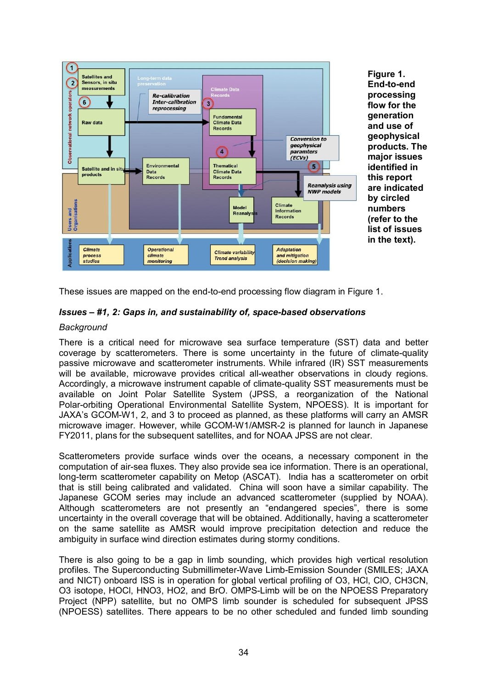

**Figure 1. End-to-end processing flow for the generation and use of geophysical products. The major issues identified in this report are indicated by circled numbers (refer to the list of issues in the text).**

These issues are mapped on the end-to-end processing flow diagram in Figure 1.

### *Issues* – #1, 2: Gaps in, and sustainability of, space-based observations

### *Background*

There is a critical need for microwave sea surface temperature (SST) data and better coverage by scatterometers. There is some uncertainty in the future of climate-quality passive microwave and scatterometer instruments. While infrared (IR) SST measurements will be available, microwave provides critical all-weather observations in cloudy regions. Accordingly, a microwave instrument capable of climate-quality SST measurements must be available on Joint Polar Satellite System (JPSS, a reorganization of the National Polar-orbiting Operational Environmental Satellite System, NPOESS). It is important for JAXA's GCOM-W1, 2, and 3 to proceed as planned, as these platforms will carry an AMSR microwave imager. However, while GCOM-W1/AMSR-2 is planned for launch in Japanese FY2011, plans for the subsequent satellites, and for NOAA JPSS are not clear.

Scatterometers provide surface winds over the oceans, a necessary component in the computation of air-sea fluxes. They also provide sea ice information. There is an operational, long-term scatterometer capability on Metop (ASCAT). India has a scatterometer on orbit that is still being calibrated and validated. China will soon have a similar capability. The Japanese GCOM series may include an advanced scatterometer (supplied by NOAA). Although scatterometers are not presently an "endangered species", there is some uncertainty in the overall coverage that will be obtained. Additionally, having a scatterometer on the same satellite as AMSR would improve precipitation detection and reduce the ambiguity in surface wind direction estimates during stormy conditions.

There is also going to be a gap in limb sounding, which provides high vertical resolution profiles. The Superconducting Submillimeter-Wave Limb-Emission Sounder (SMILES: JAXA and NICT) onboard ISS is in operation for global vertical profiling of O3, HCl, ClO, CH3CN, O3 isotope, HOCl, HNO3, HO2, and BrO. OMPSLimb will be on the NPOESS Preparatory Project (NPP) satellite, but no OMPS limb sounder is scheduled for subsequent JPSS (NPOESS) satellites. There appears to be no other scheduled and funded limb sounding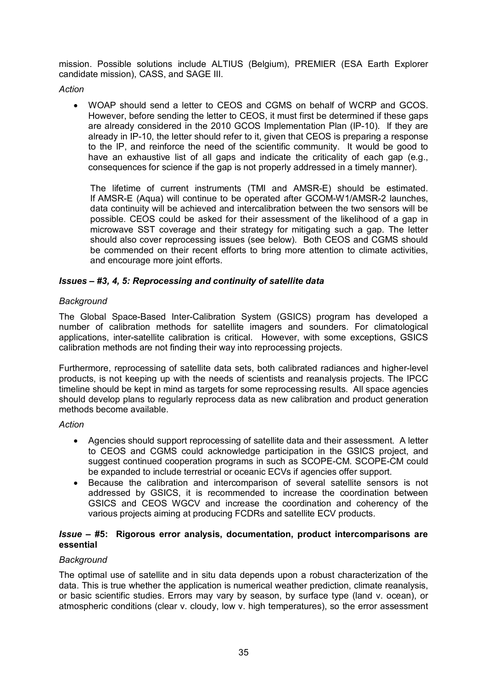mission. Possible solutions include ALTIUS (Belgium), PREMIER (ESA Earth Explorer candidate mission), CASS, and SAGE III.

*Action*

· WOAP should send a letter to CEOS and CGMS on behalf of WCRP and GCOS. However, before sending the letter to CEOS, it must first be determined if these gaps are already considered in the 2010 GCOS Implementation Plan (IP-10). If they are already in IP-10, the letter should refer to it, given that CEOS is preparing a response to the IP, and reinforce the need of the scientific community. It would be good to have an exhaustive list of all gaps and indicate the criticality of each gap (e.g., consequences for science if the gap is not properly addressed in a timely manner).

The lifetime of current instruments (TMI and AMSRE) should be estimated. If AMSR-E (Aqua) will continue to be operated after GCOM-W1/AMSR-2 launches, data continuity will be achieved and intercalibration between the two sensors will be possible. CEOS could be asked for their assessment of the likelihood of a gap in microwave SST coverage and their strategy for mitigating such a gap. The letter should also cover reprocessing issues (see below). Both CEOS and CGMS should be commended on their recent efforts to bring more attention to climate activities, and encourage more joint efforts.

### *Issues – #3, 4, 5: Reprocessing and continuity of satellite data*

### *Background*

The Global Space-Based Inter-Calibration System (GSICS) program has developed a number of calibration methods for satellite imagers and sounders. For climatological applications, inter-satellite calibration is critical. However, with some exceptions, GSICS calibration methods are not finding their way into reprocessing projects.

Furthermore, reprocessing of satellite data sets, both calibrated radiances and higher-level products, is not keeping up with the needs of scientists and reanalysis projects. The IPCC timeline should be kept in mind as targets for some reprocessing results. All space agencies should develop plans to regularly reprocess data as new calibration and product generation methods become available.

#### *Action*

- · Agencies should support reprocessing of satellite data and their assessment. A letter to CEOS and CGMS could acknowledge participation in the GSICS project, and suggest continued cooperation programs in such as SCOPE-CM. SCOPE-CM could be expanded to include terrestrial or oceanic ECVs if agencies offer support.
- · Because the calibration and intercomparison of several satellite sensors is not addressed by GSICS, it is recommended to increase the coordination between GSICS and CEOS WGCV and increase the coordination and coherency of the various projects aiming at producing FCDRs and satellite ECV products.

### *Issue –* **#5: Rigorous error analysis, documentation, product intercomparisons are essential**

### *Background*

The optimal use of satellite and in situ data depends upon a robust characterization of the data. This is true whether the application is numerical weather prediction, climate reanalysis, or basic scientific studies. Errors may vary by season, by surface type (land v. ocean), or atmospheric conditions (clear v. cloudy, low v. high temperatures), so the error assessment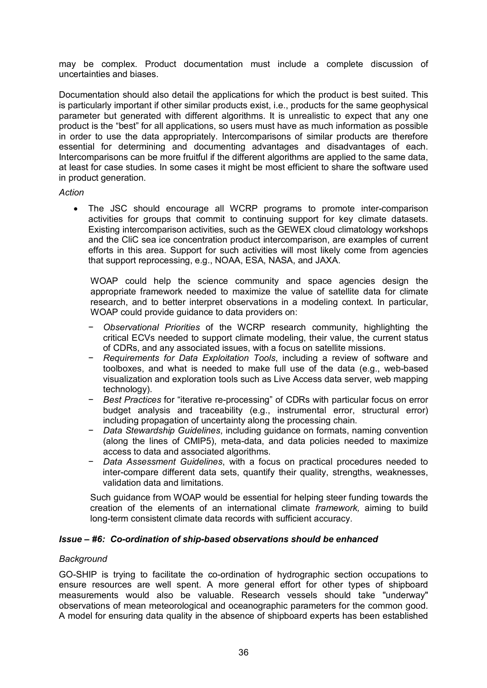may be complex. Product documentation must include a complete discussion of uncertainties and biases.

Documentation should also detail the applications for which the product is best suited. This is particularly important if other similar products exist, i.e., products for the same geophysical parameter but generated with different algorithms. It is unrealistic to expect that any one product is the "best" for all applications, so users must have as much information as possible in order to use the data appropriately. Intercomparisons of similar products are therefore essential for determining and documenting advantages and disadvantages of each. Intercomparisons can be more fruitful if the different algorithms are applied to the same data, at least for case studies. In some cases it might be most efficient to share the software used in product generation.

#### *Action*

The JSC should encourage all WCRP programs to promote inter-comparison activities for groups that commit to continuing support for key climate datasets. Existing intercomparison activities, such as the GEWEX cloud climatology workshops and the CliC sea ice concentration product intercomparison, are examples of current efforts in this area. Support for such activities will most likely come from agencies that support reprocessing, e.g., NOAA, ESA, NASA, and JAXA.

WOAP could help the science community and space agencies design the appropriate framework needed to maximize the value of satellite data for climate research, and to better interpret observations in a modeling context. In particular, WOAP could provide guidance to data providers on:

- − *Observational Priorities* of the WCRP research community, highlighting the critical ECVs needed to support climate modeling, their value, the current status of CDRs, and any associated issues, with a focus on satellite missions.
- − *Requirements for Data Exploitation Tools*, including a review of software and toolboxes, and what is needed to make full use of the data (e.g., web-based visualization and exploration tools such as Live Access data server, web mapping technology).
- Best Practices for "iterative re-processing" of CDRs with particular focus on error budget analysis and traceability (e.g., instrumental error, structural error) including propagation of uncertainty along the processing chain.
- − *Data Stewardship Guidelines*, including guidance on formats, naming convention (along the lines of CMIP5), meta-data, and data policies needed to maximize access to data and associated algorithms.
- − *Data Assessment Guidelines*, with a focus on practical procedures needed to inter-compare different data sets, quantify their quality, strengths, weaknesses, validation data and limitations.

Such guidance from WOAP would be essential for helping steer funding towards the creation of the elements of an international climate *framework,* aiming to build long-term consistent climate data records with sufficient accuracy.

### *Issue – #6: Co-ordination of ship-based observations should be enhanced*

### *Background*

GO-SHIP is trying to facilitate the co-ordination of hydrographic section occupations to ensure resources are well spent. A more general effort for other types of shipboard measurements would also be valuable. Research vessels should take "underway" observations of mean meteorological and oceanographic parameters for the common good. A model for ensuring data quality in the absence of shipboard experts has been established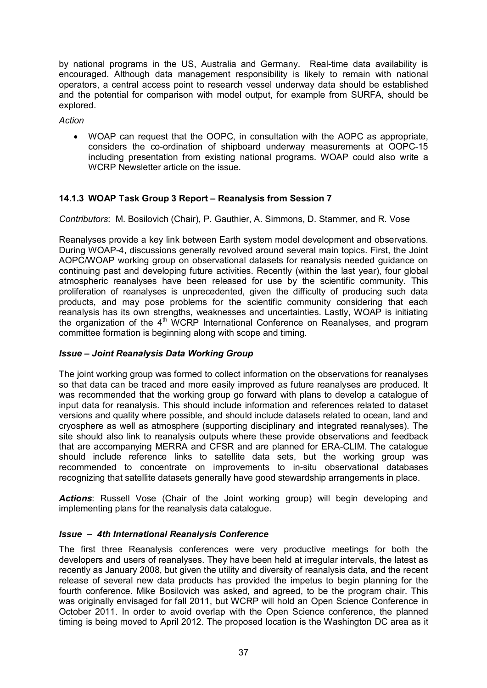by national programs in the US, Australia and Germany. Real-time data availability is encouraged. Although data management responsibility is likely to remain with national operators, a central access point to research vessel underway data should be established and the potential for comparison with model output, for example from SURFA, should be explored.

*Action*

· WOAP can request that the OOPC, in consultation with the AOPC as appropriate, considers the co-ordination of shipboard underway measurements at OOPC-15 including presentation from existing national programs. WOAP could also write a WCRP Newsletter article on the issue.

### **14.1.3 WOAP Task Group 3 Report – Reanalysis from Session 7**

*Contributors*: M. Bosilovich (Chair), P. Gauthier, A. Simmons, D. Stammer, and R. Vose

Reanalyses provide a key link between Earth system model development and observations. During WOAP4, discussions generally revolved around several main topics. First, the Joint AOPC/WOAP working group on observational datasets for reanalysis needed guidance on continuing past and developing future activities. Recently (within the last year), four global atmospheric reanalyses have been released for use by the scientific community. This proliferation of reanalyses is unprecedented, given the difficulty of producing such data products, and may pose problems for the scientific community considering that each reanalysis has its own strengths, weaknesses and uncertainties. Lastly, WOAP is initiating the organization of the 4<sup>th</sup> WCRP International Conference on Reanalyses, and program committee formation is beginning along with scope and timing.

### *Issue – Joint Reanalysis Data Working Group*

The joint working group was formed to collect information on the observations for reanalyses so that data can be traced and more easily improved as future reanalyses are produced. It was recommended that the working group go forward with plans to develop a catalogue of input data for reanalysis. This should include information and references related to dataset versions and quality where possible, and should include datasets related to ocean, land and cryosphere as well as atmosphere (supporting disciplinary and integrated reanalyses). The site should also link to reanalysis outputs where these provide observations and feedback that are accompanying MERRA and CFSR and are planned for ERA-CLIM. The catalogue should include reference links to satellite data sets, but the working group was recommended to concentrate on improvements to in-situ observational databases recognizing that satellite datasets generally have good stewardship arrangements in place.

*Actions*: Russell Vose (Chair of the Joint working group) will begin developing and implementing plans for the reanalysis data catalogue.

### *Issue – 4th International Reanalysis Conference*

The first three Reanalysis conferences were very productive meetings for both the developers and users of reanalyses. They have been held at irregular intervals, the latest as recently as January 2008, but given the utility and diversity of reanalysis data, and the recent release of several new data products has provided the impetus to begin planning for the fourth conference. Mike Bosilovich was asked, and agreed, to be the program chair. This was originally envisaged for fall 2011, but WCRP will hold an Open Science Conference in October 2011. In order to avoid overlap with the Open Science conference, the planned timing is being moved to April 2012. The proposed location is the Washington DC area as it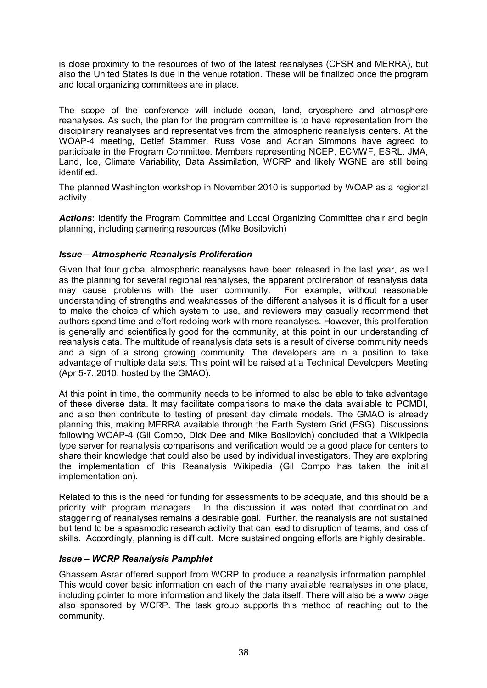is close proximity to the resources of two of the latest reanalyses (CFSR and MERRA), but also the United States is due in the venue rotation. These will be finalized once the program and local organizing committees are in place.

The scope of the conference will include ocean, land, cryosphere and atmosphere reanalyses. As such, the plan for the program committee is to have representation from the disciplinary reanalyses and representatives from the atmospheric reanalysis centers. At the WOAP4 meeting, Detlef Stammer, Russ Vose and Adrian Simmons have agreed to participate in the Program Committee. Members representing NCEP, ECMWF, ESRL, JMA, Land, Ice, Climate Variability, Data Assimilation, WCRP and likely WGNE are still being identified.

The planned Washington workshop in November 2010 is supported by WOAP as a regional activity.

*Actions***:** Identify the Program Committee and Local Organizing Committee chair and begin planning, including garnering resources (Mike Bosilovich)

### *Issue – Atmospheric Reanalysis Proliferation*

Given that four global atmospheric reanalyses have been released in the last year, as well as the planning for several regional reanalyses, the apparent proliferation of reanalysis data may cause problems with the user community. For example, without reasonable understanding of strengths and weaknesses of the different analyses it is difficult for a user to make the choice of which system to use, and reviewers may casually recommend that authors spend time and effort redoing work with more reanalyses. However, this proliferation is generally and scientifically good for the community, at this point in our understanding of reanalysis data. The multitude of reanalysis data sets is a result of diverse community needs and a sign of a strong growing community. The developers are in a position to take advantage of multiple data sets. This point will be raised at a Technical Developers Meeting  $(Apr 5-7, 2010, hosted by the GMAO).$ 

At this point in time, the community needs to be informed to also be able to take advantage of these diverse data. It may facilitate comparisons to make the data available to PCMDI, and also then contribute to testing of present day climate models. The GMAO is already planning this, making MERRA available through the Earth System Grid (ESG). Discussions following WOAP4 (Gil Compo, Dick Dee and Mike Bosilovich) concluded that a Wikipedia type server for reanalysis comparisons and verification would be a good place for centers to share their knowledge that could also be used by individual investigators. They are exploring the implementation of this Reanalysis Wikipedia (Gil Compo has taken the initial implementation on).

Related to this is the need for funding for assessments to be adequate, and this should be a priority with program managers. In the discussion it was noted that coordination and staggering of reanalyses remains a desirable goal. Further, the reanalysis are not sustained but tend to be a spasmodic research activity that can lead to disruption of teams, and loss of skills. Accordingly, planning is difficult. More sustained ongoing efforts are highly desirable.

### *Issue – WCRP Reanalysis Pamphlet*

Ghassem Asrar offered support from WCRP to produce a reanalysis information pamphlet. This would cover basic information on each of the many available reanalyses in one place, including pointer to more information and likely the data itself. There will also be a www page also sponsored by WCRP. The task group supports this method of reaching out to the community.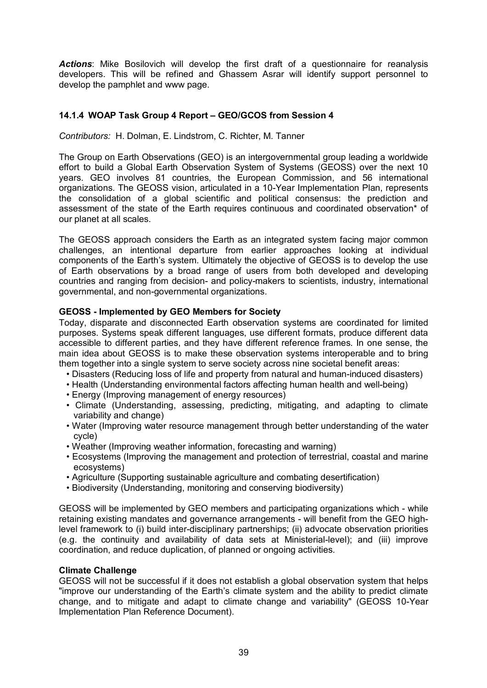*Actions*: Mike Bosilovich will develop the first draft of a questionnaire for reanalysis developers. This will be refined and Ghassem Asrar will identify support personnel to develop the pamphlet and www page.

### **14.1.4 WOAP Task Group 4 Report – GEO/GCOS from Session 4**

*Contributors:* H. Dolman, E. Lindstrom, C. Richter, M. Tanner

The Group on Earth Observations (GEO) is an intergovernmental group leading a worldwide effort to build a Global Earth Observation System of Systems (GEOSS) over the next 10 years. GEO involves 81 countries, the European Commission, and 56 international organizations. The GEOSS vision, articulated in a 10Year Implementation Plan, represents the consolidation of a global scientific and political consensus: the prediction and assessment of the state of the Earth requires continuous and coordinated observation\* of our planet at all scales.

The GEOSS approach considers the Earth as an integrated system facing major common challenges, an intentional departure from earlier approaches looking at individual components of the Earth's system. Ultimately the objective of GEOSS is to develop the use of Earth observations by a broad range of users from both developed and developing countries and ranging from decision- and policy-makers to scientists, industry, international governmental, and non-governmental organizations.

### **GEOSS Implemented by GEO Members for Society**

Today, disparate and disconnected Earth observation systems are coordinated for limited purposes. Systems speak different languages, use different formats, produce different data accessible to different parties, and they have different reference frames. In one sense, the main idea about GEOSS is to make these observation systems interoperable and to bring them together into a single system to serve society across nine societal benefit areas:

- Disasters (Reducing loss of life and property from natural and human-induced disasters)
- Health (Understanding environmental factors affecting human health and well-being)
- Energy (Improving management of energy resources)
- Climate (Understanding, assessing, predicting, mitigating, and adapting to climate variability and change)
- Water (Improving water resource management through better understanding of the water cycle)
- Weather (Improving weather information, forecasting and warning)
- Ecosystems (Improving the management and protection of terrestrial, coastal and marine ecosystems)
- Agriculture (Supporting sustainable agriculture and combating desertification)
- Biodiversity (Understanding, monitoring and conserving biodiversity)

GEOSS will be implemented by GEO members and participating organizations which - while retaining existing mandates and governance arrangements - will benefit from the GEO highlevel framework to (i) build inter-disciplinary partnerships; (ii) advocate observation priorities (e.g. the continuity and availability of data sets at Ministerial-level); and (iii) improve coordination, and reduce duplication, of planned or ongoing activities.

### **Climate Challenge**

GEOSS will not be successful if it does not establish a global observation system that helps "improve our understanding of the Earth's climate system and the ability to predict climate change, and to mitigate and adapt to climate change and variability" (GEOSS 10-Year Implementation Plan Reference Document).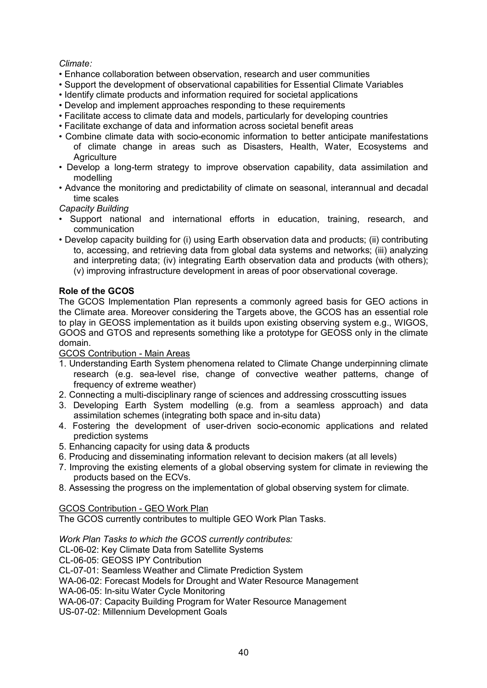### *Climate:*

- Enhance collaboration between observation, research and user communities
- Support the development of observational capabilities for Essential Climate Variables
- Identify climate products and information required for societal applications
- Develop and implement approaches responding to these requirements
- Facilitate access to climate data and models, particularly for developing countries
- Facilitate exchange of data and information across societal benefit areas
- Combine climate data with socio-economic information to better anticipate manifestations of climate change in areas such as Disasters, Health, Water, Ecosystems and **Agriculture**
- Develop a long-term strategy to improve observation capability, data assimilation and modelling
- Advance the monitoring and predictability of climate on seasonal, interannual and decadal time scales

*Capacity Building*

- Support national and international efforts in education, training, research, and communication
- Develop capacity building for (i) using Earth observation data and products; (ii) contributing to, accessing, and retrieving data from global data systems and networks; (iii) analyzing and interpreting data; (iv) integrating Earth observation data and products (with others); (v) improving infrastructure development in areas of poor observational coverage.

### **Role of the GCOS**

The GCOS Implementation Plan represents a commonly agreed basis for GEO actions in the Climate area. Moreover considering the Targets above, the GCOS has an essential role to play in GEOSS implementation as it builds upon existing observing system e.g., WIGOS, GOOS and GTOS and represents something like a prototype for GEOSS only in the climate domain.

GCOS Contribution - Main Areas

- 1. Understanding Earth System phenomena related to Climate Change underpinning climate research (e.g. sea-level rise, change of convective weather patterns, change of frequency of extreme weather)
- 2. Connecting a multi-disciplinary range of sciences and addressing crosscutting issues
- 3. Developing Earth System modelling (e.g. from a seamless approach) and data assimilation schemes (integrating both space and in-situ data)
- 4. Fostering the development of user-driven socio-economic applications and related prediction systems
- 5. Enhancing capacity for using data & products
- 6. Producing and disseminating information relevant to decision makers (at all levels)
- 7. Improving the existing elements of a global observing system for climate in reviewing the products based on the ECVs.
- 8. Assessing the progress on the implementation of global observing system for climate.

### GCOS Contribution - GEO Work Plan

The GCOS currently contributes to multiple GEO Work Plan Tasks.

### *Work Plan Tasks to which the GCOS currently contributes:*

CL-06-02: Key Climate Data from Satellite Systems

CL-06-05: GEOSS IPY Contribution

- CL-07-01: Seamless Weather and Climate Prediction System
- WA-06-02: Forecast Models for Drought and Water Resource Management

WA-06-05: In-situ Water Cycle Monitoring

WA-06-07: Capacity Building Program for Water Resource Management

US-07-02: Millennium Development Goals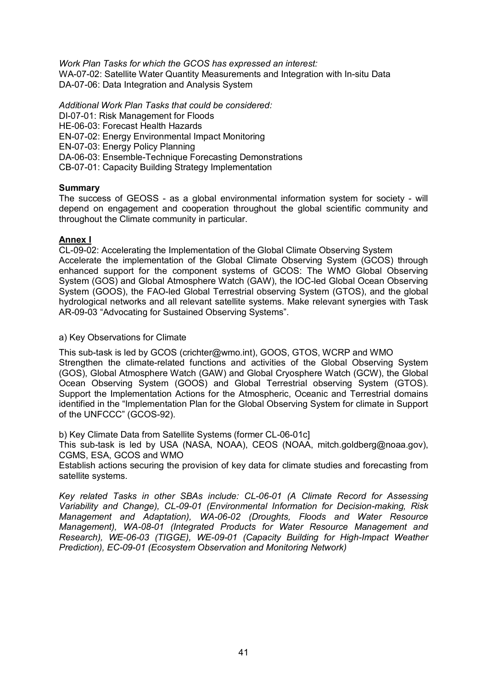*Work Plan Tasks for which the GCOS has expressed an interest:* WA-07-02: Satellite Water Quantity Measurements and Integration with In-situ Data DA-07-06: Data Integration and Analysis System

*Additional Work Plan Tasks that could be considered:* DI-07-01: Risk Management for Floods HE-06-03: Forecast Health Hazards EN-07-02: Energy Environmental Impact Monitoring EN-07-03: Energy Policy Planning DA-06-03: Ensemble-Technique Forecasting Demonstrations CB-07-01: Capacity Building Strategy Implementation

#### **Summary**

The success of GEOSS - as a global environmental information system for society - will depend on engagement and cooperation throughout the global scientific community and throughout the Climate community in particular.

#### **Annex I**

CL-09-02: Accelerating the Implementation of the Global Climate Observing System Accelerate the implementation of the Global Climate Observing System (GCOS) through enhanced support for the component systems of GCOS: The WMO Global Observing System (GOS) and Global Atmosphere Watch (GAW), the IOC-led Global Ocean Observing System (GOOS), the FAO-led Global Terrestrial observing System (GTOS), and the global hydrological networks and all relevant satellite systems. Make relevant synergies with Task AR-09-03 "Advocating for Sustained Observing Systems".

a) Key Observations for Climate

This sub-task is led by GCOS (crichter@wmo.int), GOOS, GTOS, WCRP and WMO Strengthen the climate-related functions and activities of the Global Observing System (GOS), Global Atmosphere Watch (GAW) and Global Cryosphere Watch (GCW), the Global Ocean Observing System (GOOS) and Global Terrestrial observing System (GTOS). Support the Implementation Actions for the Atmospheric, Oceanic and Terrestrial domains identified in the "Implementation Plan for the Global Observing System for climate in Support of the UNFCCC" (GCOS-92).

b) Key Climate Data from Satellite Systems (former CL-06-01cl

This sub-task is led by USA (NASA, NOAA), CEOS (NOAA, mitch.goldberg@noaa.gov), CGMS, ESA, GCOS and WMO

Establish actions securing the provision of key data for climate studies and forecasting from satellite systems.

*Key related Tasks in other SBAs include: CL0601 (A Climate Record for Assessing Variability and Change), CL-09-01 (Environmental Information for Decision-making, Risk Management and Adaptation), WA0602 (Droughts, Floods and Water Resource Management), WA0801 (Integrated Products for Water Resource Management and Research), WE-06-03 (TIGGE), WE-09-01 (Capacity Building for High-Impact Weather Prediction), EC-09-01 (Ecosystem Observation and Monitoring Network)*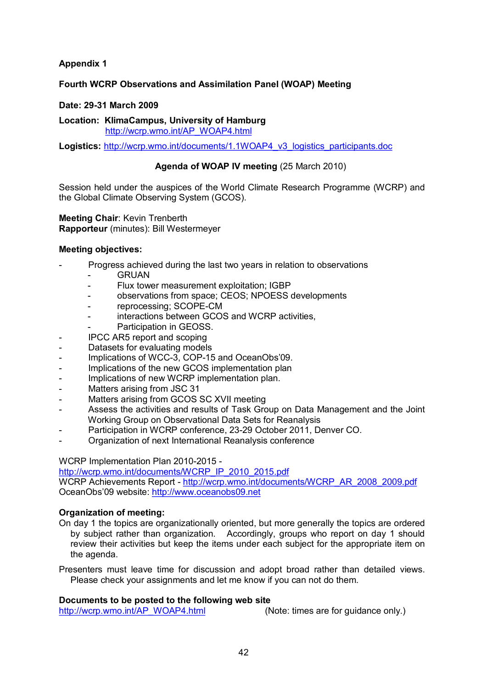### **Appendix 1**

### **Fourth WCRP Observations and Assimilation Panel (WOAP) Meeting**

#### **Date: 2931 March 2009**

**Location: KlimaCampus, University of Hamburg** [http://wcrp.wmo.int/AP\\_WOAP4.html](http://wcrp.wmo.int/AP_WOAP4.html)

**Logistics:** [http://wcrp.wmo.int/documents/1.1WOAP4\\_v3\\_logistics\\_participants.doc](http://wcrp.wmo.int/documents/1.1WOAP4_v3_logistics_participants.doc)

### **Agenda of WOAP IV meeting** (25 March 2010)

Session held under the auspices of the World Climate Research Programme (WCRP) and the Global Climate Observing System (GCOS).

#### **Meeting Chair**: Kevin Trenberth **Rapporteur** (minutes): Bill Westermeyer

#### **Meeting objectives:**

- Progress achieved during the last two years in relation to observations
	- **GRUAN**
	- Flux tower measurement exploitation; IGBP
	- observations from space; CEOS; NPOESS developments
	- reprocessing; SCOPE-CM
	- interactions between GCOS and WCRP activities,
	- Participation in GEOSS.
	- IPCC AR5 report and scoping
- Datasets for evaluating models
- Implications of WCC-3, COP-15 and OceanObs'09.
- Implications of the new GCOS implementation plan
- Implications of new WCRP implementation plan.
- Matters arising from JSC 31
- Matters arising from GCOS SC XVII meeting
- Assess the activities and results of Task Group on Data Management and the Joint Working Group on Observational Data Sets for Reanalysis
- Participation in WCRP conference, 23-29 October 2011, Denver CO.
- Organization of next International Reanalysis conference

WCRP Implementation Plan 2010-2015 -

http://wcrp.wmo.int/documents/WCRP\_IP\_2010\_2015.pdf

WCRP Achievements Report - http://wcrp.wmo.int/documents/WCRP\_AR\_2008\_2009.pdf OceanObs'09 website: [http://www.oceanobs09.net](http://www.oceanobs09.net/)

### **Organization of meeting:**

On day 1 the topics are organizationally oriented, but more generally the topics are ordered by subject rather than organization. Accordingly, groups who report on day 1 should review their activities but keep the items under each subject for the appropriate item on the agenda.

Presenters must leave time for discussion and adopt broad rather than detailed views. Please check your assignments and let me know if you can not do them.

#### **Documents to be posted to the following web site**

[http://wcrp.wmo.int/AP\\_WOAP4.html](http://wcrp.wmo.int/AP_WOAP4.html) (Note: times are for guidance only.)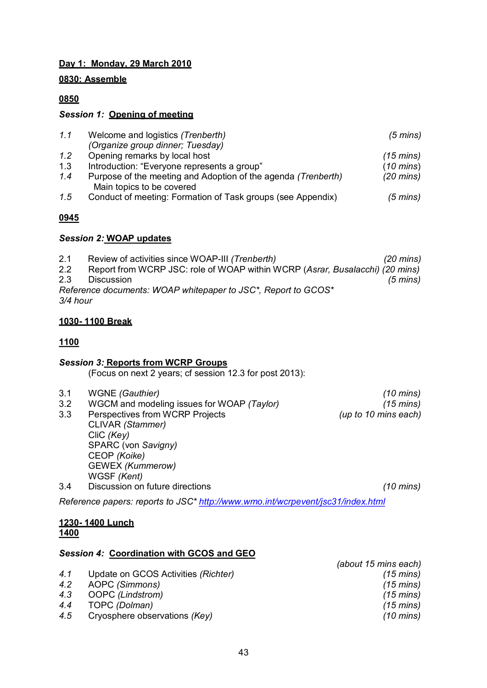### **Day 1: Monday, 29 March 2010**

### **0830: Assemble**

### **0850**

### *Session 1:* **Opening of meeting**

| 1.1 | Welcome and logistics (Trenberth)                                                          | $(5 \text{ mins})$  |
|-----|--------------------------------------------------------------------------------------------|---------------------|
|     | (Organize group dinner; Tuesday)                                                           |                     |
| 1.2 | Opening remarks by local host                                                              | $(15 \text{ mins})$ |
| 1.3 | Introduction: "Everyone represents a group"                                                | $(10 \text{ mins})$ |
| 1.4 | Purpose of the meeting and Adoption of the agenda (Trenberth)<br>Main topics to be covered | $(20 \text{ mins})$ |
| 1.5 | Conduct of meeting: Formation of Task groups (see Appendix)                                | (5 mins)            |

### **0945**

### *Session 2:* **WOAP updates**

2.1 Review of activities since WOAPIII *(Trenberth) (20 mins)* 2.2 Report from WCRP JSC: role of WOAP within WCRP (*Asrar, Busalacchi) (20 mins)* 2.3 Discussion *(5 mins) Reference documents: WOAP whitepaper to JSC\*, Report to GCOS\* 3/4 hour*

### **1030 1100 Break**

### **1100**

### *Session 3:* **Reports from WCRP Groups**

(Focus on next 2 years; cf session 12.3 for post 2013):

- 3.1 WGNE *(Gauthier) (10 mins)*
- 3.2 WGCM and modeling issues for WOAP *(Taylor) (15 mins)*

3.3 Perspectives from WCRP Projects *(up to 10 mins each)* CLIVAR *(Stammer)* CliC *(Key)* SPARC (von *Savigny)* CEOP *(Koike)* GEWEX *(Kummerow)* WGSF *(Kent)* 3.4 Discussion on future directions *(10 mins)*

*Reference papers: reports to JSC\*<http://www.wmo.int/wcrpevent/jsc31/index.html>*

### **1230 1400 Lunch 1400**

### *Session 4:* **Coordination with GCOS and GEO**

*(about 15 mins each) 4.1* Update on GCOS Activities *(Richter) (15 mins) 4.2* AOPC *(Simmons) (15 mins) 4.3* OOPC *(Lindstrom) (15 mins) 4.4* TOPC *(Dolman) (15 mins) 4.5* Cryosphere observations *(Key) (10 mins)*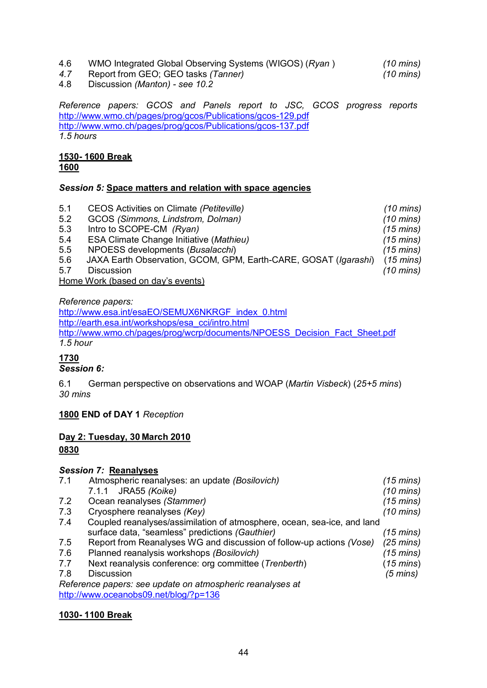4.6 WMO Integrated Global Observing Systems (WIGOS) (*Ryan* ) *(10 mins)*

*4.7* Report from GEO; GEO tasks *(Tanner) (10 mins)* 4.8 Discussion *(Manton) see 10.2*

*Reference papers: GCOS and Panels report to JSC, GCOS progress reports* http://www.wmo.ch/pages/prog/gcos/Publications/gcos-129.pdf http://www.wmo.ch/pages/prog/gcos/Publications/gcos-137.pdf *1.5 hours*

#### **1530 1600 Break 1600**

### *Session 5:* **Space matters and relation with space agencies**

| 5.1 | CEOS Activities on Climate (Petiteville)                        | $(10 \text{ mins})$ |
|-----|-----------------------------------------------------------------|---------------------|
| 5.2 | GCOS (Simmons, Lindstrom, Dolman)                               | $(10 \text{ mins})$ |
| 5.3 | Intro to SCOPE-CM (Ryan)                                        | $(15 \text{ mins})$ |
| 5.4 | <b>ESA Climate Change Initiative (Mathieu)</b>                  | $(15 \text{ mins})$ |
| 5.5 | NPOESS developments (Busalacchi)                                | $(15 \text{ mins})$ |
| 5.6 | JAXA Earth Observation, GCOM, GPM, Earth-CARE, GOSAT (Igarashi) | $(15 \text{ mins})$ |
| 5.7 | <b>Discussion</b>                                               | $(10 \text{ mins})$ |
|     | Home Work (based on day's events)                               |                     |

*Reference papers:*

[http://www.esa.int/esaEO/SEMUX6NKRGF\\_index\\_0.html](http://www.esa.int/esaEO/SEMUX6NKRGF_index_0.html) [http://earth.esa.int/workshops/esa\\_cci/intro.html](http://earth.esa.int/workshops/esa_cci/intro.html) [http://www.wmo.ch/pages/prog/wcrp/documents/NPOESS\\_Decision\\_Fact\\_Sheet.pdf](http://www.wmo.ch/pages/prog/wcrp/documents/NPOESS_Decision_Fact_Sheet.pdf) *1.5 hour*

## **1730**

### *Session 6:*

6.1 German perspective on observations and WOAP (*Martin Visbeck*) (*25+5 mins*) *30 mins*

### **1800 END of DAY 1** *Reception*

# **Day 2: Tuesday, 30 March 2010**

### **0830**

### *Session 7:* **Reanalyses**

| 7.1 | Atmospheric reanalyses: an update (Bosilovich)                          | $(15 \text{ mins})$ |
|-----|-------------------------------------------------------------------------|---------------------|
|     | 7.1.1 JRA55 (Koike)                                                     | $(10 \text{ mins})$ |
| 7.2 | Ocean reanalyses (Stammer)                                              | $(15 \text{ mins})$ |
| 7.3 | Cryosphere reanalyses (Key)                                             | $(10 \text{ mins})$ |
| 7.4 | Coupled reanalyses/assimilation of atmosphere, ocean, sea-ice, and land |                     |
|     | surface data, "seamless" predictions (Gauthier)                         | $(15 \text{ mins})$ |
| 7.5 | Report from Reanalyses WG and discussion of follow-up actions (Vose)    | $(25 \text{ mins})$ |
| 7.6 | Planned reanalysis workshops (Bosilovich)                               | $(15 \text{ mins})$ |
| 7.7 | Next reanalysis conference: org committee (Trenberth)                   | $(15 \text{ mins})$ |
| 7.8 | <b>Discussion</b>                                                       | $(5 \text{ mins})$  |
|     | Reference papers: see update on atmospheric reanalyses at               |                     |
|     | http://www.oceanobs09.net/blog/?p=136                                   |                     |

### **1030 1100 Break**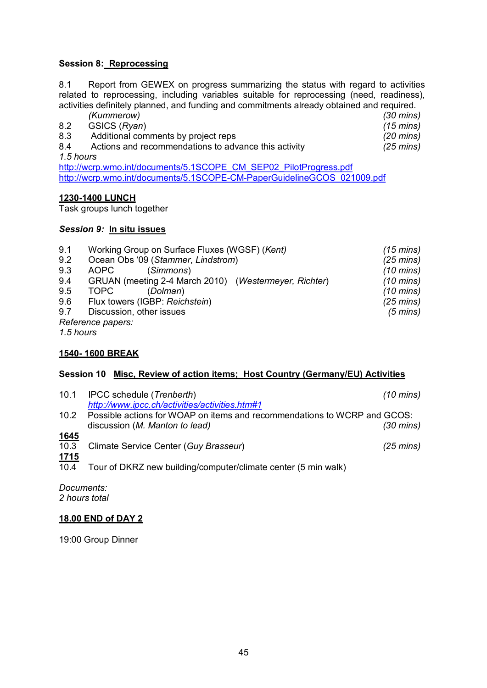### **Session 8: Reprocessing**

8.1 Report from GEWEX on progress summarizing the status with regard to activities related to reprocessing, including variables suitable for reprocessing (need, readiness), activities definitely planned, and funding and commitments already obtained and required.

|     | (Kummerow)                                           | $(30 \text{ mins})$ |
|-----|------------------------------------------------------|---------------------|
| 8.2 | GSICS (Ryan)                                         | $(15 \text{ mins})$ |
| 8.3 | Additional comments by project reps                  | $(20 \text{ mins})$ |
| 8.4 | Actions and recommendations to advance this activity | $(25 \text{ mins})$ |
|     | 1.5 hours                                            |                     |

[http://wcrp.wmo.int/documents/5.1SCOPE\\_CM\\_SEP02\\_PilotProgress.pdf](http://wcrp.wmo.int/documents/5.1SCOPE_CM_SEP02_PilotProgress.pdf)  http://wcrp.wmo.int/documents/5.1SCOPE-CM-PaperGuidelineGCOS\_021009.pdf

### **12301400 LUNCH**

Task groups lunch together

### *Session 9:* **In situ issues**

| 9.1 | Working Group on Surface Fluxes (WGSF) (Kent)         | $(15 \text{ mins})$ |
|-----|-------------------------------------------------------|---------------------|
| 9.2 | Ocean Obs '09 (Stammer, Lindstrom)                    | $(25 \text{ mins})$ |
| 9.3 | AOPC<br>(Simmons)                                     | $(10 \text{ mins})$ |
| 9.4 | GRUAN (meeting 2-4 March 2010) (Westermeyer, Richter) | $(10 \text{ mins})$ |
| 9.5 | <b>TOPC</b><br>(Dolman)                               | $(10 \text{ mins})$ |
| 9.6 | Flux towers (IGBP: Reichstein)                        | $(25 \text{ mins})$ |
| 9.7 | Discussion, other issues                              | $(5 \text{ mins})$  |
|     | Reference papers:                                     |                     |

*1.5 hours*

### **1540 1600 BREAK**

### **Session 10 Misc, Review of action items; Host Country (Germany/EU) Activities**

| 10.1                | IPCC schedule (Trenberth)                                                                                  | $(10 \text{ mins})$ |
|---------------------|------------------------------------------------------------------------------------------------------------|---------------------|
|                     | http://www.ipcc.ch/activities/activities.htm#1                                                             |                     |
| 10.2                | Possible actions for WOAP on items and recommendations to WCRP and GCOS:<br>discussion (M. Manton to lead) | $(30 \text{ mins})$ |
| <u>1645</u>         |                                                                                                            |                     |
| 10.3                | Climate Service Center (Guy Brasseur)                                                                      | $(25 \text{ mins})$ |
| <u>1715</u><br>10.4 | Tour of DKRZ new building/computer/climate center (5 min walk)                                             |                     |
|                     |                                                                                                            |                     |

*Documents:*

*2 hours total*

### **18.00 END of DAY 2**

19:00 Group Dinner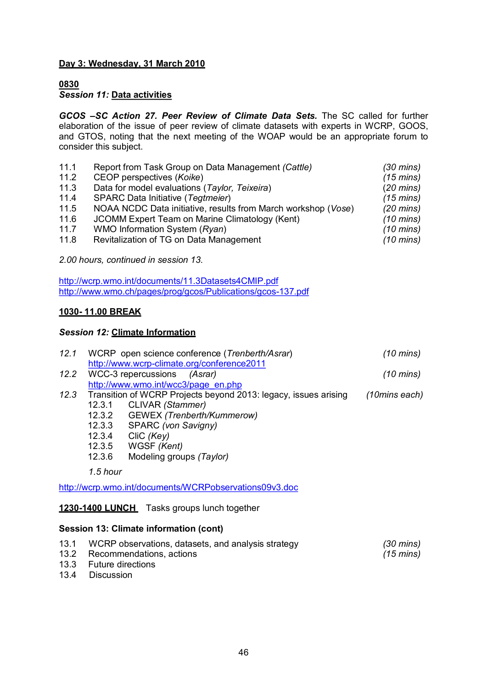### **Day 3: Wednesday, 31 March 2010**

### **0830**

### *Session 11:* **Data activities**

*GCOS –SC Action 27. Peer Review of Climate Data Sets.* The SC called for further elaboration of the issue of peer review of climate datasets with experts in WCRP, GOOS, and GTOS, noting that the next meeting of the WOAP would be an appropriate forum to consider this subject.

| 11.1 | Report from Task Group on Data Management (Cattle)            | $(30 \text{ mins})$ |
|------|---------------------------------------------------------------|---------------------|
| 11.2 | CEOP perspectives (Koike)                                     | $(15 \text{ mins})$ |
| 11.3 | Data for model evaluations (Taylor, Teixeira)                 | $(20 \text{ mins})$ |
| 11.4 | SPARC Data Initiative (Tegtmeier)                             | $(15 \text{ mins})$ |
| 11.5 | NOAA NCDC Data initiative, results from March workshop (Vose) | $(20 \text{ mins})$ |
| 11.6 | JCOMM Expert Team on Marine Climatology (Kent)                | $(10 \text{ mins})$ |
| 11.7 | WMO Information System (Ryan)                                 | $(10 \text{ mins})$ |
| 11.8 | Revitalization of TG on Data Management                       | $(10 \text{ mins})$ |

*2.00 hours, continued in session 13.*

<http://wcrp.wmo.int/documents/11.3Datasets4CMIP.pdf> http://www.wmo.ch/pages/prog/gcos/Publications/gcos-137.pdf

### **1030 11.00 BREAK**

### *Session 12:* **Climate Information**

| 12.1 |          | WCRP open science conference (Trenberth/Asrar)                            | $(10 \text{ mins})$ |
|------|----------|---------------------------------------------------------------------------|---------------------|
| 12.2 |          | http://www.wcrp-climate.org/conference2011<br>WCC-3 repercussions (Asrar) | $(10 \text{ mins})$ |
|      |          | http://www.wmo.int/wcc3/page_en.php                                       |                     |
| 12.3 |          | Transition of WCRP Projects beyond 2013: legacy, issues arising           | (10mins each)       |
|      | 12.3.1   | CLIVAR (Stammer)                                                          |                     |
|      | 12.3.2   | GEWEX (Trenberth/Kummerow)                                                |                     |
|      | 12.3.3   | SPARC (von Savigny)                                                       |                     |
|      | 12.3.4   | CliC (Key)                                                                |                     |
|      | 12.3.5   | WGSF (Kent)                                                               |                     |
|      | 12.3.6   | Modeling groups (Taylor)                                                  |                     |
|      | 1.5 hour |                                                                           |                     |
|      |          | http://wcrp.wmo.int/documents/WCRPobservations09v3.doc                    |                     |
|      |          |                                                                           |                     |

## 1230-1400 LUNCH Tasks groups lunch together

### **Session 13: Climate information (cont)**

| 13.1 WCRP observations, datasets, and analysis strategy | (30 mins) |
|---------------------------------------------------------|-----------|
| 13.2 Recommendations, actions                           | (15 mins) |
| 13.3 Future directions                                  |           |

13.4 Discussion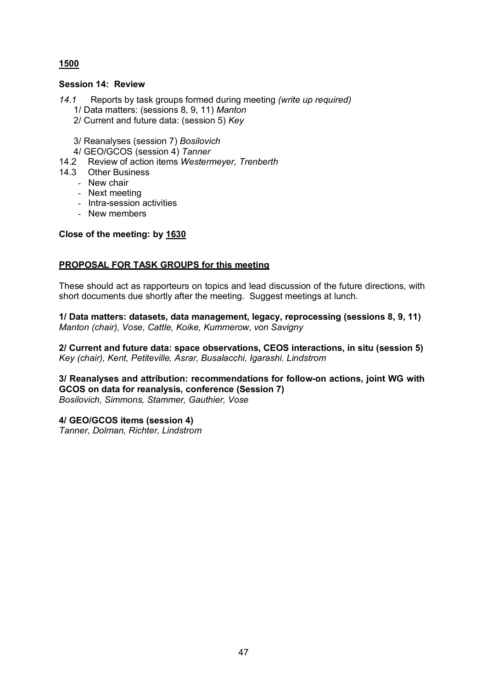### **1500**

### **Session 14: Review**

- *14.1* Reports by task groups formed during meeting *(write up required)*
	- 1/ Data matters: (sessions 8, 9, 11) *Manton*
	- 2/ Current and future data: (session 5) *Key*
	- 3/ Reanalyses (session 7) *Bosilovich*
	- 4/ GEO/GCOS (session 4) *Tanner*
- 14.2 Review of action items *Westermeyer, Trenberth*
- 14.3 Other Business
	- New chair
	- Next meeting
	- Intra-session activities
	- New members

### **Close of the meeting: by 1630**

### **PROPOSAL FOR TASK GROUPS for this meeting**

These should act as rapporteurs on topics and lead discussion of the future directions, with short documents due shortly after the meeting. Suggest meetings at lunch.

**1/ Data matters: datasets, data management, legacy, reprocessing (sessions 8, 9, 11)** *Manton (chair), Vose, Cattle, Koike, Kummerow, von Savigny*

**2/ Current and future data: space observations, CEOS interactions, in situ (session 5)** *Key (chair), Kent, Petiteville, Asrar, Busalacchi, Igarashi. Lindstrom*

**3/ Reanalyses and attribution: recommendations for followon actions, joint WG with GCOS on data for reanalysis, conference (Session 7)** *Bosilovich, Simmons, Stammer, Gauthier, Vose*

**4/ GEO/GCOS items (session 4)**

*Tanner, Dolman, Richter, Lindstrom*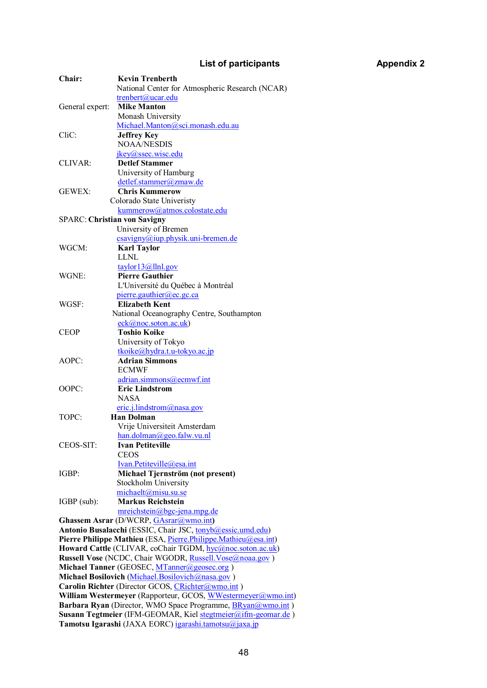## **List of participants Appendix 2**

| <b>Chair:</b>                                                | <b>Kevin Trenberth</b>                                                                                    |  |
|--------------------------------------------------------------|-----------------------------------------------------------------------------------------------------------|--|
|                                                              | National Center for Atmospheric Research (NCAR)                                                           |  |
|                                                              | trenbert@ucar.edu                                                                                         |  |
| General expert:                                              | <b>Mike Manton</b>                                                                                        |  |
|                                                              | Monash University                                                                                         |  |
|                                                              | Michael.Manton@sci.monash.edu.au                                                                          |  |
| CliC:                                                        | <b>Jeffrey Key</b>                                                                                        |  |
|                                                              | <b>NOAA/NESDIS</b>                                                                                        |  |
|                                                              | jkey@ssec.wisc.edu                                                                                        |  |
| <b>CLIVAR:</b>                                               | <b>Detlef Stammer</b>                                                                                     |  |
|                                                              | University of Hamburg                                                                                     |  |
|                                                              | detlef.stammer@zmaw.de                                                                                    |  |
|                                                              |                                                                                                           |  |
| <b>GEWEX:</b>                                                | <b>Chris Kummerow</b>                                                                                     |  |
|                                                              | Colorado State Univeristy                                                                                 |  |
|                                                              | kummerow@atmos.colostate.edu                                                                              |  |
| <b>SPARC: Christian von Savigny</b>                          |                                                                                                           |  |
|                                                              | University of Bremen                                                                                      |  |
|                                                              | $\frac{csavity(a) \text{iup} \cdot \text{physi} \cdot \text{uni} \cdot \text{bremen} \cdot \text{de}}{c}$ |  |
| WGCM:                                                        | <b>Karl Taylor</b>                                                                                        |  |
|                                                              | LLNL                                                                                                      |  |
|                                                              | taylor13@llnl.gov                                                                                         |  |
| WGNE:                                                        | <b>Pierre Gauthier</b>                                                                                    |  |
|                                                              | L'Université du Québec à Montréal                                                                         |  |
|                                                              | pierre.gauthier@ec.gc.ca                                                                                  |  |
| WGSF:                                                        | <b>Elizabeth Kent</b>                                                                                     |  |
|                                                              | National Oceanography Centre, Southampton                                                                 |  |
|                                                              | eck@noc.soton.ac.uk)                                                                                      |  |
| <b>CEOP</b>                                                  | <b>Toshio Koike</b>                                                                                       |  |
|                                                              | University of Tokyo                                                                                       |  |
|                                                              | $tkoike@hydra.t.u-tokyo.ac.jp$                                                                            |  |
| AOPC:                                                        | <b>Adrian Simmons</b>                                                                                     |  |
|                                                              | <b>ECMWF</b>                                                                                              |  |
|                                                              |                                                                                                           |  |
|                                                              | adrian.simmons@ecmwf.int                                                                                  |  |
| OOPC:                                                        | <b>Eric Lindstrom</b>                                                                                     |  |
|                                                              | <b>NASA</b>                                                                                               |  |
|                                                              | $eric.$ <i>j.lindstrom@nasa.gov</i>                                                                       |  |
| TOPC:                                                        | <b>Han Dolman</b>                                                                                         |  |
|                                                              | Vrije Universiteit Amsterdam                                                                              |  |
|                                                              | han.dolman@geo.falw.vu.nl                                                                                 |  |
| CEOS-SIT:                                                    | <b>Ivan Petiteville</b>                                                                                   |  |
|                                                              | <b>CEOS</b>                                                                                               |  |
|                                                              | Ivan.Petiteville@esa.int                                                                                  |  |
| IGBP:                                                        | Michael Tjernström (not present)                                                                          |  |
|                                                              | Stockholm University                                                                                      |  |
|                                                              | michaelt@misu.su.se                                                                                       |  |
| IGBP (sub):                                                  | <b>Markus Reichstein</b>                                                                                  |  |
|                                                              | $mreichstein(\omega)$ bgc-jena.mpg.de                                                                     |  |
|                                                              | Ghassem Asrar (D/WCRP, GAsrar@wmo.int)                                                                    |  |
|                                                              | Antonio Busalacchi (ESSIC, Chair JSC, tonyb@essic.umd.edu)                                                |  |
|                                                              | Pierre Philippe Mathieu (ESA, Pierre.Philippe.Mathieu@esa.int)                                            |  |
|                                                              | Howard Cattle (CLIVAR, coChair TGDM, hyc@noc.soton.ac.uk)                                                 |  |
|                                                              |                                                                                                           |  |
|                                                              | Russell Vose (NCDC, Chair WGODR, Russell. Vose@noaa.gov)                                                  |  |
|                                                              | Michael Tanner (GEOSEC, MTanner@geosec.org)                                                               |  |
|                                                              | Michael Bosilovich (Michael. Bosilovich@nasa.gov)                                                         |  |
| Carolin Richter (Director GCOS, CRichter@wmo.int)            |                                                                                                           |  |
| William Westermeyer (Rapporteur, GCOS, WWestermeyer@wmo.int) |                                                                                                           |  |
|                                                              | Barbara Ryan (Director, WMO Space Programme, <b>BRyan@wmo.int</b> )                                       |  |
|                                                              | Susann Tegtmeier (IFM-GEOMAR, Kiel stegtmeier@ifm-geomar.de)                                              |  |
|                                                              | Tamotsu Igarashi (JAXA EORC) igarashi.tamotsu@jaxa.jp                                                     |  |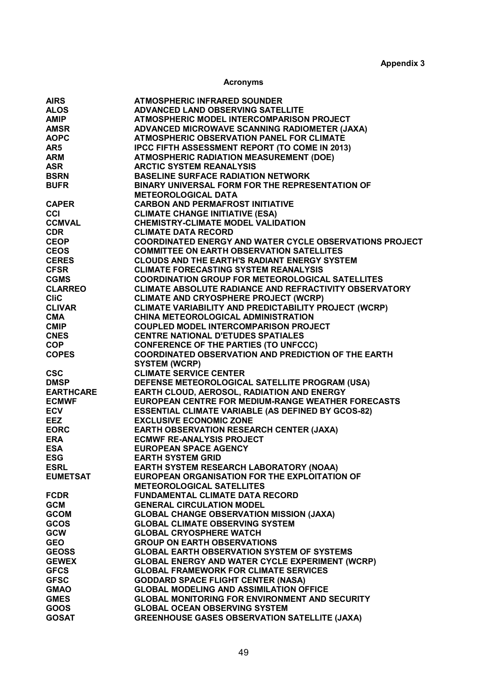### **Acronyms**

| <b>AIRS</b>                                   | <b>ATMOSPHERIC INFRARED SOUNDER</b>                            |
|-----------------------------------------------|----------------------------------------------------------------|
| <b>ALOS</b>                                   | ADVANCED LAND OBSERVING SATELLITE                              |
| <b>AMIP</b>                                   | ATMOSPHERIC MODEL INTERCOMPARISON PROJECT                      |
| <b>AMSR</b>                                   | ADVANCED MICROWAVE SCANNING RADIOMETER (JAXA)                  |
| <b>AOPC</b>                                   | <b>ATMOSPHERIC OBSERVATION PANEL FOR CLIMATE</b>               |
| AR5                                           | IPCC FIFTH ASSESSMENT REPORT (TO COME IN 2013)                 |
| <b>ARM</b>                                    | ATMOSPHERIC RADIATION MEASUREMENT (DOE)                        |
| <b>ASR</b>                                    |                                                                |
|                                               | <b>ARCTIC SYSTEM REANALYSIS</b>                                |
| <b>BSRN</b>                                   | <b>BASELINE SURFACE RADIATION NETWORK</b>                      |
| <b>BUFR</b>                                   | BINARY UNIVERSAL FORM FOR THE REPRESENTATION OF                |
|                                               | <b>METEOROLOGICAL DATA</b>                                     |
|                                               | <b>CARBON AND PERMAFROST INITIATIVE</b>                        |
| CAPER<br>CCI<br>CCMVAL                        | <b>CLIMATE CHANGE INITIATIVE (ESA)</b>                         |
|                                               | <b>CHEMISTRY-CLIMATE MODEL VALIDATION</b>                      |
| <b>CDR</b>                                    | <b>CLIMATE DATA RECORD</b>                                     |
|                                               | <b>COORDINATED ENERGY AND WATER CYCLE OBSERVATIONS PROJECT</b> |
| CEOP<br>CEOS<br>CERES<br>CFSR<br>COMO         | <b>COMMITTEE ON EARTH OBSERVATION SATELLITES</b>               |
|                                               | <b>CLOUDS AND THE EARTH'S RADIANT ENERGY SYSTEM</b>            |
|                                               | <b>CLIMATE FORECASTING SYSTEM REANALYSIS</b>                   |
|                                               |                                                                |
|                                               | <b>COORDINATION GROUP FOR METEOROLOGICAL SATELLITES</b>        |
|                                               | <b>CLIMATE ABSOLUTE RADIANCE AND REFRACTIVITY OBSERVATORY</b>  |
|                                               | <b>CLIMATE AND CRYOSPHERE PROJECT (WCRP)</b>                   |
| ENTRESSER<br>JESR<br>CLARREO<br>CIIC          | CLIMATE VARIABILITY AND PREDICTABILITY PROJECT (WCRP)          |
|                                               | CHINA METEOROLOGICAL ADMINISTRATION                            |
|                                               | <b>COUPLED MODEL INTERCOMPARISON PROJECT</b>                   |
|                                               | <b>CENTRE NATIONAL D'ETUDES SPATIALES</b>                      |
| CLIVAR<br>CMA<br>CMIP<br>CNES<br>COP          | <b>CONFERENCE OF THE PARTIES (TO UNFCCC)</b>                   |
| <b>COPES</b>                                  | <b>COORDINATED OBSERVATION AND PREDICTION OF THE EARTH</b>     |
|                                               | <b>SYSTEM (WCRP)</b>                                           |
| <b>CSC</b>                                    | <b>CLIMATE SERVICE CENTER</b>                                  |
|                                               |                                                                |
| <b>DMSP</b>                                   | DEFENSE METEOROLOGICAL SATELLITE PROGRAM (USA)                 |
| <b>EARTHCARE</b>                              | EARTH CLOUD, AEROSOL, RADIATION AND ENERGY                     |
| <b>ECMWF</b>                                  | EUROPEAN CENTRE FOR MEDIUM-RANGE WEATHER FORECASTS             |
| <b>ECMWF<br/>ECV<br/>EEZ<br/>EORC<br/>ERA</b> | <b>ESSENTIAL CLIMATE VARIABLE (AS DEFINED BY GCOS-82)</b>      |
|                                               | <b>EXCLUSIVE ECONOMIC ZONE</b>                                 |
|                                               | <b>EARTH OBSERVATION RESEARCH CENTER (JAXA)</b>                |
|                                               | <b>ECMWF RE-ANALYSIS PROJECT</b>                               |
| <b>ESA</b>                                    | <b>EUROPEAN SPACE AGENCY</b>                                   |
| <b>ESG</b>                                    | <b>EARTH SYSTEM GRID</b>                                       |
| <b>ESRL</b>                                   | EARTH SYSTEM RESEARCH LABORATORY (NOAA)                        |
| <b>EUMETSAT</b>                               | EUROPEAN ORGANISATION FOR THE EXPLOITATION OF                  |
|                                               |                                                                |
|                                               | <b>METEOROLOGICAL SATELLITES</b>                               |
| <b>FCDR</b>                                   | <b>FUNDAMENTAL CLIMATE DATA RECORD</b>                         |
| <b>GCM</b>                                    | <b>GENERAL CIRCULATION MODEL</b>                               |
| <b>GCOM</b>                                   | <b>GLOBAL CHANGE OBSERVATION MISSION (JAXA)</b>                |
| <b>GCOS</b>                                   | <b>GLOBAL CLIMATE OBSERVING SYSTEM</b>                         |
| <b>GCW</b>                                    | <b>GLOBAL CRYOSPHERE WATCH</b>                                 |
| <b>GEO</b>                                    | <b>GROUP ON EARTH OBSERVATIONS</b>                             |
| <b>GEOSS</b>                                  | <b>GLOBAL EARTH OBSERVATION SYSTEM OF SYSTEMS</b>              |
| <b>GEWEX</b>                                  | <b>GLOBAL ENERGY AND WATER CYCLE EXPERIMENT (WCRP)</b>         |
| <b>GFCS</b>                                   | <b>GLOBAL FRAMEWORK FOR CLIMATE SERVICES</b>                   |
| <b>GFSC</b>                                   | <b>GODDARD SPACE FLIGHT CENTER (NASA)</b>                      |
|                                               |                                                                |
| <b>GMAO</b>                                   | <b>GLOBAL MODELING AND ASSIMILATION OFFICE</b>                 |
| <b>GMES</b>                                   | <b>GLOBAL MONITORING FOR ENVIRONMENT AND SECURITY</b>          |
| <b>GOOS</b>                                   | <b>GLOBAL OCEAN OBSERVING SYSTEM</b>                           |
| <b>GOSAT</b>                                  | <b>GREENHOUSE GASES OBSERVATION SATELLITE (JAXA)</b>           |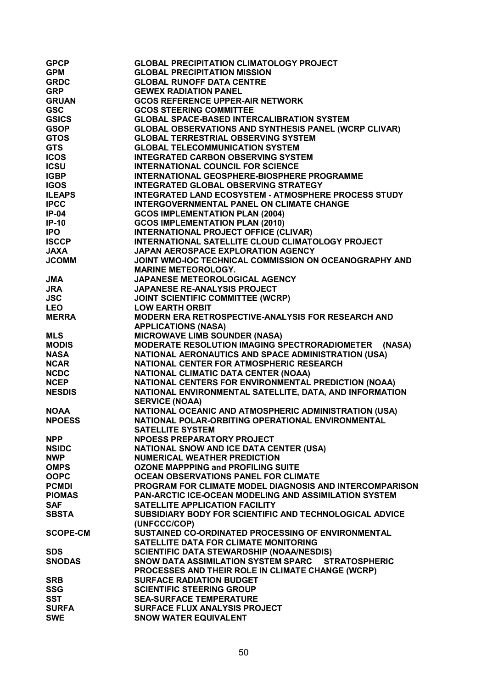| GPCP<br>GRDC<br>GRP<br>GRUAN<br>GSC<br>GSICS<br>GSICS<br>GSOP<br>GTOS<br>GTOS<br>GTOS<br>GTOS<br>ICSU<br>IGBP<br>IP-04<br>IP-04<br>IP-04<br>IP-04<br>IP-04<br>IP-04<br>IP-04<br>IP-05<br>CCP<br>JAXA<br>JUNAXA<br>JUNAXA<br>JUNAXA<br>JUNAXA<br>JUNAXA<br>JUNAXA<br>JUNAXA<br>JUNAXA<br>JUNAXA<br>JUNAXA<br>JUNAXA<br>JUNAXA<br>JUNAXA<br>JUN | <b>GLOBAL PRECIPITATION CLIMATOLOGY PROJECT</b>              |
|-----------------------------------------------------------------------------------------------------------------------------------------------------------------------------------------------------------------------------------------------------------------------------------------------------------------------------------------------|--------------------------------------------------------------|
|                                                                                                                                                                                                                                                                                                                                               | <b>GLOBAL PRECIPITATION MISSION</b>                          |
|                                                                                                                                                                                                                                                                                                                                               | <b>GLOBAL RUNOFF DATA CENTRE</b>                             |
|                                                                                                                                                                                                                                                                                                                                               | <b>GEWEX RADIATION PANEL</b>                                 |
|                                                                                                                                                                                                                                                                                                                                               | <b>GCOS REFERENCE UPPER-AIR NETWORK</b>                      |
|                                                                                                                                                                                                                                                                                                                                               | <b>GCOS STEERING COMMITTEE</b>                               |
|                                                                                                                                                                                                                                                                                                                                               | <b>GLOBAL SPACE-BASED INTERCALIBRATION SYSTEM</b>            |
|                                                                                                                                                                                                                                                                                                                                               | <b>GLOBAL OBSERVATIONS AND SYNTHESIS PANEL (WCRP CLIVAR)</b> |
|                                                                                                                                                                                                                                                                                                                                               | <b>GLOBAL TERRESTRIAL OBSERVING SYSTEM</b>                   |
|                                                                                                                                                                                                                                                                                                                                               | <b>GLOBAL TELECOMMUNICATION SYSTEM</b>                       |
|                                                                                                                                                                                                                                                                                                                                               | <b>INTEGRATED CARBON OBSERVING SYSTEM</b>                    |
|                                                                                                                                                                                                                                                                                                                                               | <b>INTERNATIONAL COUNCIL FOR SCIENCE</b>                     |
|                                                                                                                                                                                                                                                                                                                                               | <b>INTERNATIONAL GEOSPHERE-BIOSPHERE PROGRAMME</b>           |
|                                                                                                                                                                                                                                                                                                                                               | <b>INTEGRATED GLOBAL OBSERVING STRATEGY</b>                  |
|                                                                                                                                                                                                                                                                                                                                               | <b>INTEGRATED LAND ECOSYSTEM - ATMOSPHERE PROCESS STUDY</b>  |
|                                                                                                                                                                                                                                                                                                                                               | INTERGOVERNMENTAL PANEL ON CLIMATE CHANGE                    |
|                                                                                                                                                                                                                                                                                                                                               | <b>GCOS IMPLEMENTATION PLAN (2004)</b>                       |
|                                                                                                                                                                                                                                                                                                                                               | <b>GCOS IMPLEMENTATION PLAN (2010)</b>                       |
|                                                                                                                                                                                                                                                                                                                                               | INTERNATIONAL PROJECT OFFICE (CLIVAR)                        |
|                                                                                                                                                                                                                                                                                                                                               | INTERNATIONAL SATELLITE CLOUD CLIMATOLOGY PROJECT            |
|                                                                                                                                                                                                                                                                                                                                               | <b>JAPAN AEROSPACE EXPLORATION AGENCY</b>                    |
|                                                                                                                                                                                                                                                                                                                                               | JOINT WMO-IOC TECHNICAL COMMISSION ON OCEANOGRAPHY AND       |
|                                                                                                                                                                                                                                                                                                                                               | <b>MARINE METEOROLOGY.</b>                                   |
|                                                                                                                                                                                                                                                                                                                                               | JAPANESE METEOROLOGICAL AGENCY                               |
|                                                                                                                                                                                                                                                                                                                                               | JAPANESE RE-ANALYSIS PROJECT                                 |
|                                                                                                                                                                                                                                                                                                                                               | <b>JOINT SCIENTIFIC COMMITTEE (WCRP)</b>                     |
|                                                                                                                                                                                                                                                                                                                                               | <b>LOW EARTH ORBIT</b>                                       |
|                                                                                                                                                                                                                                                                                                                                               | MODERN ERA RETROSPECTIVE-ANALYSIS FOR RESEARCH AND           |
|                                                                                                                                                                                                                                                                                                                                               | <b>APPLICATIONS (NASA)</b>                                   |
|                                                                                                                                                                                                                                                                                                                                               | <b>MICROWAVE LIMB SOUNDER (NASA)</b>                         |
|                                                                                                                                                                                                                                                                                                                                               | MODERATE RESOLUTION IMAGING SPECTRORADIOMETER                |
|                                                                                                                                                                                                                                                                                                                                               | (NASA)                                                       |
|                                                                                                                                                                                                                                                                                                                                               | NATIONAL AERONAUTICS AND SPACE ADMINISTRATION (USA)          |
|                                                                                                                                                                                                                                                                                                                                               | NATIONAL CENTER FOR ATMOSPHERIC RESEARCH                     |
|                                                                                                                                                                                                                                                                                                                                               | NATIONAL CLIMATIC DATA CENTER (NOAA)                         |
|                                                                                                                                                                                                                                                                                                                                               | NATIONAL CENTERS FOR ENVIRONMENTAL PREDICTION (NOAA)         |
|                                                                                                                                                                                                                                                                                                                                               | NATIONAL ENVIRONMENTAL SATELLITE, DATA, AND INFORMATION      |
|                                                                                                                                                                                                                                                                                                                                               | <b>SERVICE (NOAA)</b>                                        |
| NOAA                                                                                                                                                                                                                                                                                                                                          | NATIONAL OCEANIC AND ATMOSPHERIC ADMINISTRATION (USA)        |
| <b>NPOESS</b>                                                                                                                                                                                                                                                                                                                                 | NATIONAL POLAR-ORBITING OPERATIONAL ENVIRONMENTAL            |
|                                                                                                                                                                                                                                                                                                                                               | <b>SATELLITE SYSTEM</b>                                      |
| <b>NPP</b>                                                                                                                                                                                                                                                                                                                                    | <b>NPOESS PREPARATORY PROJECT</b>                            |
| <b>NSIDC</b>                                                                                                                                                                                                                                                                                                                                  | NATIONAL SNOW AND ICE DATA CENTER (USA)                      |
| <b>NWP</b>                                                                                                                                                                                                                                                                                                                                    | <b>NUMERICAL WEATHER PREDICTION</b>                          |
| <b>OMPS</b>                                                                                                                                                                                                                                                                                                                                   | <b>OZONE MAPPPING and PROFILING SUITE</b>                    |
| <b>OOPC</b>                                                                                                                                                                                                                                                                                                                                   | <b>OCEAN OBSERVATIONS PANEL FOR CLIMATE</b>                  |
| <b>PCMDI</b>                                                                                                                                                                                                                                                                                                                                  | PROGRAM FOR CLIMATE MODEL DIAGNOSIS AND INTERCOMPARISON      |
| <b>PIOMAS</b>                                                                                                                                                                                                                                                                                                                                 | <b>PAN-ARCTIC ICE-OCEAN MODELING AND ASSIMILATION SYSTEM</b> |
| <b>SAF</b>                                                                                                                                                                                                                                                                                                                                    | SATELLITE APPLICATION FACILITY                               |
| <b>SBSTA</b>                                                                                                                                                                                                                                                                                                                                  | SUBSIDIARY BODY FOR SCIENTIFIC AND TECHNOLOGICAL ADVICE      |
|                                                                                                                                                                                                                                                                                                                                               | (UNFCCC/COP)                                                 |
| <b>SCOPE-CM</b>                                                                                                                                                                                                                                                                                                                               | SUSTAINED CO-ORDINATED PROCESSING OF ENVIRONMENTAL           |
|                                                                                                                                                                                                                                                                                                                                               | SATELLITE DATA FOR CLIMATE MONITORING                        |
| <b>SDS</b>                                                                                                                                                                                                                                                                                                                                    | <b>SCIENTIFIC DATA STEWARDSHIP (NOAA/NESDIS)</b>             |
| <b>SNODAS</b>                                                                                                                                                                                                                                                                                                                                 | SNOW DATA ASSIMILATION SYSTEM SPARC STRATOSPHERIC            |
|                                                                                                                                                                                                                                                                                                                                               | PROCESSES AND THEIR ROLE IN CLIMATE CHANGE (WCRP)            |
| <b>SRB</b>                                                                                                                                                                                                                                                                                                                                    | <b>SURFACE RADIATION BUDGET</b>                              |
| <b>SSG</b>                                                                                                                                                                                                                                                                                                                                    | <b>SCIENTIFIC STEERING GROUP</b>                             |
| <b>SST</b>                                                                                                                                                                                                                                                                                                                                    | <b>SEA-SURFACE TEMPERATURE</b>                               |
| <b>SURFA</b>                                                                                                                                                                                                                                                                                                                                  | <b>SURFACE FLUX ANALYSIS PROJECT</b>                         |
| <b>SWE</b>                                                                                                                                                                                                                                                                                                                                    | <b>SNOW WATER EQUIVALENT</b>                                 |